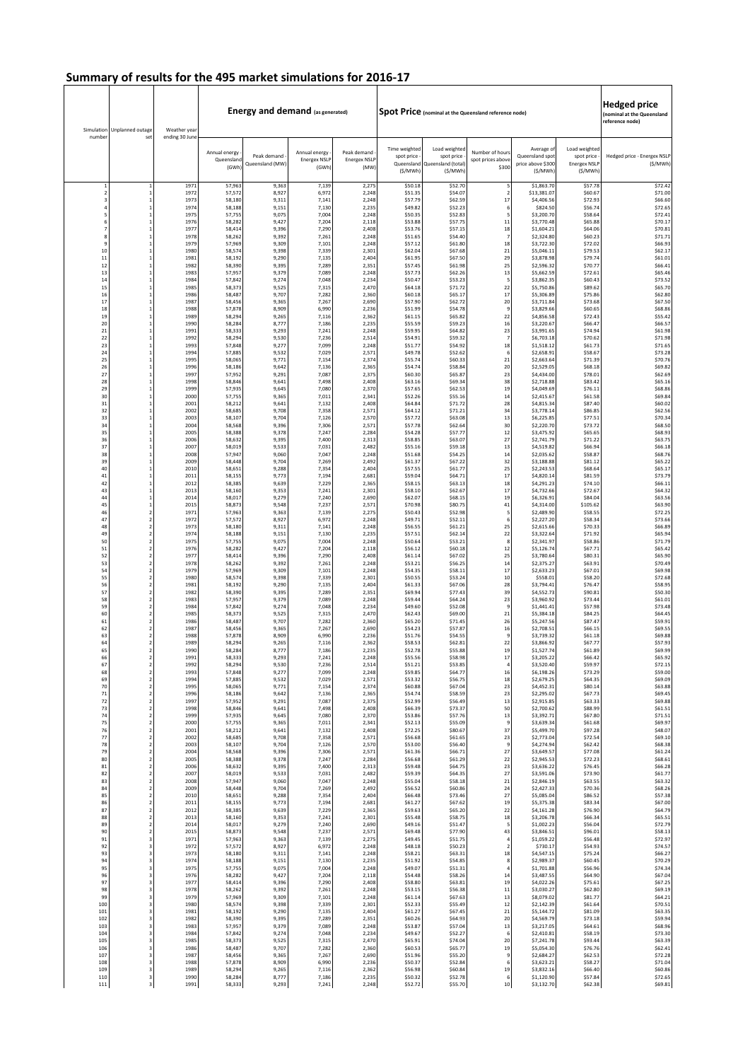|                         | Simulation Unplanned outage  | Weather year   | <b>Energy and demand (as generated)</b> |                                |                                               |                                            | Spot Price (nominal at the Queensland reference node) | Hedged price<br>(nominal at the Queensland<br>eference node)             |                                               |                                                               |                                                                |                                         |
|-------------------------|------------------------------|----------------|-----------------------------------------|--------------------------------|-----------------------------------------------|--------------------------------------------|-------------------------------------------------------|--------------------------------------------------------------------------|-----------------------------------------------|---------------------------------------------------------------|----------------------------------------------------------------|-----------------------------------------|
| number                  | set                          | ending 30 June | Annual energy<br>Queenslan<br>(GWh      | Peak demand<br>Queensland (MW) | Annual energy<br><b>Energex NSLF</b><br>(GWh) | Peak demand<br><b>Energex NSLF</b><br>(MW) | Time weighted<br>spot price -<br>(S/MWh)              | Load weighted<br>spot price<br>Queensland Queensland (total)<br>(\$/MWh) | Number of hours<br>spot prices above<br>\$300 | Average of<br>Queensland spot<br>price above \$300<br>(\$/MWh | Load weighted<br>spot price<br><b>Energex NSLF</b><br>(\$/MWh) | Hedged price - Energex NSLP<br>(\$/MWh) |
| $\mathbf{1}$            | $\mathbf{1}$                 | 1971           | 57,963                                  | 9,363                          | 7,139                                         | 2,275                                      | \$50.18                                               | \$52.70                                                                  | 5                                             | \$1,863.70                                                    | \$57.78                                                        | \$72.42                                 |
| $\overline{\mathbf{2}}$ | $\mathbf{1}$                 | 1972           | 57,572                                  | 8,927                          | 6,972                                         | 2,248                                      | \$51.35                                               | \$54.07                                                                  | $\mathbf 2$                                   | \$13,381.07                                                   | \$60.67                                                        | \$71.00                                 |
| 3                       | 1<br>$\mathbf{1}$            | 1973<br>1974   | 58,180<br>58,188                        | 9,311<br>9,151                 | 7,141<br>7,130                                | 2,248<br>2,235                             | \$57.79<br>\$49.82                                    | \$62.59<br>\$52.23                                                       | 17<br>6                                       | \$4,406.56<br>\$824.50                                        | \$72.93<br>\$56.74                                             | \$66.60<br>\$72.65                      |
| 5                       | $\mathbf{1}$                 | 1975           | 57,755                                  | 9,075                          | 7,004                                         | 2,248                                      | \$50.35                                               | \$52.83                                                                  | 5                                             | \$3,200.70                                                    | \$58.64                                                        | \$72.41                                 |
| 6                       | $\mathbf{1}$                 | 1976           | 58,282                                  | 9,427                          | 7,204                                         | 2,118                                      | \$53.88                                               | \$57.75                                                                  | $11\,$                                        | \$3,770.48                                                    | \$65.88                                                        | \$70.17                                 |
| $\overline{7}$          | $\mathbf{1}$                 | 1977           | 58,414                                  | 9,396                          | 7,290                                         | 2,408                                      | \$53.76                                               | \$57.15                                                                  | 18                                            | \$1,604.21                                                    | \$64.06                                                        | \$70.81                                 |
| 8                       | $\mathbf{1}$                 | 1978           | 58,262                                  | 9,392                          | 7,261                                         | 2,248                                      | \$51.65                                               | \$54.40                                                                  | $\overline{7}$                                | \$2,324.80                                                    | \$60.23                                                        | \$71.71                                 |
| $\ddot{q}$              | $\mathbf{1}$                 | 1979           | 57,969                                  | 9,309                          | 7,101                                         | 2,248                                      | \$57.12                                               | \$61.80                                                                  | 18                                            | \$3,722.30                                                    | \$72.02                                                        | \$66.93                                 |
| 10                      | $\mathbf{1}$                 | 1980           | 58,574                                  | 9,398                          | 7,339                                         | 2,301                                      | \$62.04                                               | \$67.68                                                                  | ${\bf 21}$                                    | \$5,046.11                                                    | \$79.53                                                        | \$62.17                                 |
| 11                      | $\mathbf{1}$                 | 1981           | 58,192                                  | 9,290                          | 7,135                                         | 2,404                                      | \$61.95                                               | \$67.50                                                                  | 29                                            | \$3,878.98                                                    | \$79.74                                                        | \$61.01                                 |
| 12                      | $\mathbf{1}$                 | 1982           | 58,390                                  | 9,395                          | 7,289                                         | 2,351                                      | \$57.45                                               | \$61.98                                                                  | 25                                            | \$2,596.32                                                    | \$70.77                                                        | \$66.41                                 |
| 13                      | $\mathbf{1}$                 | 1983           | 57,957                                  | 9,379                          | 7,089                                         | 2,248                                      | \$57.73                                               | \$62.26                                                                  | 13                                            | \$5,662.59                                                    | \$72.61                                                        | \$65.46                                 |
| 14                      | $\mathbf{1}$                 | 1984           | 57,842                                  | 9,274                          | 7,048                                         | 2,234                                      | \$50.47                                               | \$53.23                                                                  | 5                                             | \$3,862.3                                                     | \$60.43                                                        | \$73.52                                 |
| 15<br>16                | $\mathbf{1}$                 | 1985<br>1986   | 58,373                                  | 9,525                          | 7,315                                         | 2,470                                      | \$64.18                                               | \$71.72                                                                  | 22                                            | \$5,750.86                                                    | \$89.62                                                        | \$65.70                                 |
| 17                      | $\mathbf{1}$<br>$\mathbf{1}$ | 1987           | 58,487<br>58,456                        | 9,707<br>9,365                 | 7,282<br>7,267                                | 2,360<br>2,690                             | \$60.18<br>\$57.90                                    | \$65.17<br>\$62.72                                                       | 17<br>20                                      | \$5,306.89<br>\$3,711.84                                      | \$75.86<br>\$73.68                                             | \$62.80<br>\$67.50                      |
| 18                      | $\mathbf{1}$                 | 1988           | 57,878                                  | 8,909                          | 6,990                                         | 2,236                                      | \$51.99                                               | \$54.78                                                                  | $\,9$                                         | \$3,829.66                                                    | \$60.65                                                        | \$68.86                                 |
| 19                      | $\mathbf{1}$                 | 1989           | 58,294                                  | 9,265                          | 7,116                                         | 2,362                                      | \$61.15                                               | \$65.82                                                                  | 22                                            | \$4,856.58                                                    | \$72.43                                                        | \$55.42                                 |
| 20                      | $\,$ 1                       | 1990           | 58,284                                  | 8,777                          | 7,186                                         | 2,235                                      | \$55.59                                               | \$59.23                                                                  | 16                                            | \$3,220.67                                                    | \$66.47                                                        | \$66.57                                 |
| 21                      | $\mathbf 1$                  | 1991           | 58,333                                  | 9,293                          | 7,241                                         | 2,248                                      | \$59.95                                               | \$64.82                                                                  | 23                                            | \$3,991.65                                                    | \$74.94                                                        | \$61.98                                 |
| 22                      | $\,$ 1                       | 1992           | 58,294                                  | 9,530                          | 7,236                                         | 2,514                                      | \$54.91                                               | \$59.32                                                                  | $\overline{7}$                                | \$6,703.18                                                    | \$70.62                                                        | \$71.98                                 |
| 23                      | $\mathbf{1}$                 | 1993           | 57,848                                  | 9,277                          | 7,099                                         | 2,248                                      | \$51.77                                               | \$54.92                                                                  | 18                                            | \$1,518.12                                                    | \$61.73                                                        | \$71.65                                 |
| 24                      | $\mathbf{1}$                 | 1994           | 57,885                                  | 9,532                          | 7,029                                         | 2,571                                      | \$49.78                                               | \$52.62                                                                  | 6                                             | \$2,658.91                                                    | \$58.67                                                        | \$73.28                                 |
| 25                      | $\mathbf{1}$                 | 1995           | 58,065                                  | 9,771                          | 7,154                                         | 2,374                                      | \$55.74                                               | \$60.33                                                                  | 21                                            | \$2,663.64                                                    | \$71.39                                                        | \$70.76                                 |
| 26                      | $\mathbf{1}$                 | 1996           | 58,186                                  | 9,642                          | 7,136                                         | 2,365                                      | \$54.74                                               | \$58.84                                                                  | 20                                            | \$2,529.05                                                    | \$68.18                                                        | \$69.82                                 |
| 27                      | $\mathbf{1}$                 | 1997           | 57,952                                  | 9,291                          | 7,087                                         | 2,375                                      | \$60.30                                               | \$65.87                                                                  | 23                                            | \$4,434.00                                                    | \$78.01                                                        | \$62.69                                 |
| 28                      | $\mathbf{1}$                 | 1998           | 58,846                                  | 9,641                          | 7,498                                         | 2,408                                      | \$63.16                                               | \$69.34                                                                  | 38                                            | \$2,718.88                                                    | \$83.42                                                        | \$65.16                                 |
| 29                      | $\mathbf{1}$                 | 1999           | 57,935                                  | 9,645                          | 7,080                                         | 2,370                                      | \$57.65                                               | \$62.53                                                                  | 19                                            | \$4,049.69                                                    | \$76.11                                                        | \$68.86                                 |
| 30                      | $\mathbf{1}$                 | 2000           | 57,755                                  | 9,365                          | 7,011                                         | 2,341                                      | \$52.26                                               | \$55.16                                                                  | 14                                            | \$2,415.67                                                    | \$61.58                                                        | \$69.84                                 |
| 31                      | $\mathbf{1}$                 | 2001           | 58,212                                  | 9,641                          | 7,132                                         | 2,408                                      | \$64.84                                               | \$71.72                                                                  | 28                                            | \$4,815.34                                                    | \$87.40                                                        | \$60.02                                 |
| 32                      | $\mathbf{1}$                 | 2002           | 58,685                                  | 9,708                          | 7,358                                         | 2,571                                      | \$64.12                                               | \$71.21                                                                  | 34                                            | \$3,778.14                                                    | \$86.85                                                        | \$62.56                                 |
| 33                      | $\mathbf{1}$                 | 2003           | 58,107                                  | 9,704                          | 7,126                                         | 2,570                                      | \$57.72                                               | \$63.08                                                                  | 13                                            | \$6,225.85                                                    | \$77.51                                                        | \$70.34                                 |
| 34                      | $\mathbf{1}$                 | 2004           | 58,568                                  | 9,396                          | 7,306                                         | 2,571                                      | \$57.78                                               | \$62.64                                                                  | 30                                            | \$2,220.70                                                    | \$73.72                                                        | \$68.50                                 |
| 35                      | $\mathbf{1}$                 | 2005           | 58,388                                  | 9,378                          | 7,247                                         | 2,284                                      | \$54.28                                               | \$57.77                                                                  | 12                                            | \$3,475.92                                                    | \$65.65                                                        | \$68.93                                 |
| 36                      | $\mathbf{1}$                 | 2006           | 58,632                                  | 9,395                          | 7,400                                         | 2,313                                      | \$58.85                                               | \$63.07                                                                  | 27                                            | \$2,741.79                                                    | \$71.22                                                        | \$63.75                                 |
| 37                      | $\mathbf{1}$                 | 200            | 58,019                                  | 9,533                          | 7,031                                         | 2,482                                      | \$55.16                                               | \$59.18                                                                  | 13                                            | \$4,519.82                                                    | \$66.94                                                        | \$66.18                                 |
| 38                      | $\mathbf{1}$                 | 2008           | 57,947                                  | 9,060                          | 7,047                                         | 2,248                                      | \$51.68                                               | \$54.25                                                                  | 14                                            | \$2,035.62                                                    | \$58.87                                                        | \$68.76                                 |
| 39                      | $\mathbf{1}$                 | 2009           | 58,448                                  | 9,704                          | 7,269                                         | 2,492                                      | \$61.37                                               | \$67.22                                                                  | 32                                            | \$3,188.88                                                    | \$81.12                                                        | \$65.22                                 |
| 40                      | $\mathbf{1}$                 | 2010           | 58,653                                  | 9,288                          | 7,354                                         | 2,404                                      | \$57.55                                               | \$61.77                                                                  | 25                                            | \$2,243.53                                                    | \$68.64                                                        | \$65.17                                 |
| 41                      | $\mathbf{1}$                 | 2011           | 58,155                                  | 9,773                          | 7,194                                         | 2,681                                      | \$59.04                                               | \$64.71                                                                  | 17                                            | \$4,820.14                                                    | \$81.59                                                        | \$73.79                                 |
| 42                      | $\mathbf{1}$                 | 2012           | 58,385                                  | 9,639                          | 7,229                                         | 2,365                                      | \$58.15                                               | \$63.13                                                                  | 18                                            | \$4,291.23                                                    | \$74.10                                                        | \$66.11                                 |
| 43                      | $\mathbf{1}$                 | 2013           | 58,160                                  | 9,353                          | 7,241                                         | 2,301                                      | \$58.10                                               | \$62.67                                                                  | 17                                            | \$4,732.66                                                    | \$72.67                                                        | \$64.32                                 |
| 44                      | $\mathbf{1}$                 | 2014           | 58,017                                  | 9,279                          | 7,240                                         | 2,690                                      | \$62.07                                               | \$68.15                                                                  | 19                                            | \$6,326.91                                                    | \$84.04                                                        | \$63.56                                 |
| 45                      | $\,$ 1                       | 2015           | 58,873                                  | 9,548                          | 7,237                                         | 2,571                                      | \$70.98                                               | \$80.75                                                                  | $41\,$                                        | \$4,314.00                                                    | \$105.62                                                       | \$63.90                                 |
| 46                      | $\mathbf 2$                  | 1971           | 57,963                                  | 9,363                          | 7,139                                         | 2,275                                      | \$50.43                                               | \$52.98                                                                  | 5                                             | \$2,489.90                                                    | \$58.55                                                        | \$72.25                                 |
| 47                      | $\mathbf 2$                  | 1972           | 57,572                                  | 8,927                          | 6,972                                         | 2,248                                      | \$49.71                                               | \$52.11                                                                  | $\,6\,$                                       | \$2,227.20                                                    | \$58.34                                                        | \$73.66                                 |
| 48                      | $\mathbf 2$                  | 1973           | 58,180                                  | 9,311                          | 7,141                                         | 2,248                                      | \$56.55                                               | \$61.21                                                                  | 25                                            | \$2,615.66                                                    | \$70.33                                                        | \$66.89                                 |
| 49                      | $\mathbf 2$                  | 1974           | 58,188                                  | 9,151                          | 7,130                                         | 2,235                                      | \$57.51                                               | \$62.14                                                                  | 22                                            | \$3,322.64                                                    | \$71.92                                                        | \$65.94                                 |
| 50                      | $\mathbf 2$                  | 1975           | 57,755                                  | 9,075                          | 7,004                                         | 2,248                                      | \$50.64                                               | \$53.21                                                                  | $\bf{8}$                                      | \$2,341.97                                                    | \$58.86                                                        | \$71.79                                 |
| 51                      | $\mathbf 2$                  | 1976           | 58,282                                  | 9,427                          | 7,204                                         | 2,118                                      | \$56.12                                               | \$60.18                                                                  | 12                                            | \$5,126.74                                                    | \$67.71                                                        | \$65.42                                 |
| 52                      | $\overline{\mathbf{2}}$      | 1977           | 58,414                                  | 9,396                          | 7,290                                         | 2,408                                      | \$61.14                                               | \$67.02                                                                  | 25                                            | \$3,780.64                                                    | \$80.31                                                        | \$65.90                                 |
| 53                      | $\mathbf 2$                  | 1978           | 58,262                                  | 9,392                          | 7,261                                         | 2,248                                      | \$53.21                                               | \$56.25                                                                  | $14\,$                                        | \$2,375.27                                                    | \$63.91                                                        | \$70.49                                 |
| 54                      | $\mathbf 2$                  | 1979           | 57,969                                  | 9,309                          | 7,101                                         | 2,248                                      | \$54.35                                               | \$58.11                                                                  | 17                                            | \$2,633.23                                                    | \$67.01                                                        | \$69.98                                 |
| 55                      | $\mathbf 2$                  | 1980           | 58,574                                  | 9,398                          | 7,339                                         | 2,301                                      | \$50.55                                               | \$53.24                                                                  | 10                                            | \$558.01                                                      | \$58.20                                                        | \$72.68                                 |
| 56                      | $\overline{2}$               | 1981           | 58,192                                  | 9,290                          | 7,135                                         | 2,404                                      | \$61.33                                               | \$67.06                                                                  | 28                                            | \$3,794.41                                                    | \$76.47                                                        | \$58.95                                 |
| 57                      | $\mathbf 2$                  | 1982           | 58,390                                  | 9,395                          | 7,289                                         | 2,351                                      | \$69.94                                               | \$77.43                                                                  | 39                                            | \$4,552.73                                                    | \$90.81                                                        | \$50.30                                 |
| 58                      | $\mathbf 2$                  | 1983           | 57,957                                  | 9,379                          | 7,089                                         | 2,248                                      | \$59.44                                               | \$64.24                                                                  | 23                                            | \$3,960.92                                                    | \$73.44                                                        | \$61.01                                 |
| 59                      | $\mathbf 2$                  | 1984           | 57,842                                  | 9,274                          | 7,048                                         | 2,234                                      | \$49.60                                               | \$52.08                                                                  | 9                                             | \$1,441.41                                                    | \$57.98                                                        | \$73.48                                 |
| 60                      | $\overline{2}$               | 1985           | 58,373                                  | 9,525                          | 7,315                                         | 2,470                                      | \$62.43                                               | \$69.00                                                                  | 21                                            | \$5,384.18                                                    | \$84.25                                                        | \$64.45                                 |
| 61                      | $\overline{2}$               | 1986           | 58,487                                  | 9,707                          | 7,282                                         | 2.360                                      | \$65.20                                               | \$71.45                                                                  | 26                                            | \$5,247.56                                                    | \$87.47                                                        | \$59.91                                 |
| 62                      | $\overline{2}$               | 1987           | 58,456                                  | 9.365                          | 7,26                                          | 2,690                                      | \$54.23                                               | \$57.87                                                                  | 16                                            | \$2,708.51                                                    | \$66.15                                                        | \$69.55                                 |
| 63                      | $\mathbf 2$                  | 1988           | 57,878                                  | 8,909                          | 6,990                                         | 2,236                                      | \$51.76                                               | \$54.55                                                                  | 9                                             | \$3,739.32                                                    | \$61.18                                                        | \$69.88                                 |
| 64                      | $\mathbf 2$                  | 1989<br>199    | 58.294<br>58,28                         | 9,265<br>8,77                  | 7,116<br>7,18                                 | 2.362<br>2,23                              | \$58.53<br>\$52.78                                    | \$62.81<br>\$55.8                                                        | 22                                            | \$3,866.92<br>\$1,527.7                                       | \$67.77<br>\$61.8                                              | \$57.93<br>\$69.99                      |
| 66                      | $\mathbf 2$                  | 1991           | 58,333                                  | 9,293                          | 7,241                                         | 2,248                                      | \$55.56                                               | \$58.98                                                                  | $17\,$                                        | \$3,205.22                                                    | \$66.42                                                        | \$65.92                                 |
| 67                      | $\overline{\mathbf{c}}$      | 1992           | 58,294                                  | 9,530                          | 7,236                                         | 2,514                                      | \$51.21                                               | \$53.85                                                                  | $\overline{4}$                                | \$3,520.40                                                    | \$59.97                                                        | \$72.15                                 |
| 68                      | $\mathbf 2$                  | 1993           | 57,848                                  | 9,277                          | 7,099                                         | 2,248                                      | \$59.85                                               | \$64.77                                                                  | 16                                            | \$6,198.26                                                    | \$73.29                                                        | \$59.00                                 |
| 69                      | $\mathbf 2$                  | 1994           | 57,885                                  | 9,532                          | 7,029                                         | 2,571                                      | \$53.32                                               | \$56.75                                                                  | 18                                            | \$2,679.25                                                    | \$64.35                                                        | \$69.09                                 |
| 70                      | $\mathbf 2$                  | 1995           | 58,065                                  | 9,771                          | 7,154                                         | 2,374                                      | \$60.88                                               | \$67.04                                                                  | 23                                            | \$4,452.31                                                    | \$80.14                                                        | \$63.88                                 |
| $71\,$                  | $\mathbf 2$                  | 1996           | 58,186                                  | 9,642                          | 7,136                                         | 2,365                                      | \$54.74                                               | \$58.59                                                                  | 23                                            | \$2,295.02                                                    | \$67.73                                                        | \$69.45                                 |
| 72                      | $\mathbf 2$                  | 1997           | 57,952                                  | 9,291                          | 7,087                                         | 2,375                                      | \$52.99                                               | \$56.49                                                                  | 13                                            | \$2,915.85                                                    | \$63.33                                                        | \$69.88                                 |
| 73                      | $\mathbf 2$                  | 1998           | 58,846                                  | 9,641                          | 7,498                                         | 2,408                                      | \$66.39                                               | \$73.37                                                                  | 50                                            | \$2,700.62                                                    | \$88.99                                                        | \$61.51                                 |
| 74                      | $\mathbf 2$                  | 1999           | 57,935                                  | 9,645                          | 7,080                                         | 2,370                                      | \$53.86                                               | \$57.76                                                                  | 13                                            | \$3,392.71                                                    | \$67.80                                                        | \$71.51                                 |
| 75                      | $\mathbf 2$                  | 2000           | 57,755                                  | 9,365                          | 7,011                                         | 2,341                                      | \$52.13                                               | \$55.09                                                                  | $\,9$                                         | \$3,639.34                                                    | \$61.68                                                        | \$69.97                                 |
| 76                      | $\mathbf 2$                  | 2001           | 58,212                                  | 9,641                          | 7,132                                         | 2,408                                      | \$72.25                                               | \$80.67                                                                  | 37                                            | \$5,499.70                                                    | \$97.28                                                        | \$48.07                                 |
| 77                      | $\mathbf 2$                  | 2002           | 58,685                                  | 9,708                          | 7,358                                         | 2,571                                      | \$56.68                                               | \$61.65                                                                  | 23                                            | \$2,773.04                                                    | \$72.54                                                        | \$69.10                                 |
| 78                      | $\mathbf 2$                  | 2003           | 58,107                                  | 9,704                          | 7,126                                         | 2,570                                      | \$53.00                                               | \$56.40                                                                  | 9                                             | \$4,274.94                                                    | \$62.42                                                        | \$68.38                                 |
| 79                      | $\mathbf 2$                  | 2004           | 58,568                                  | 9,396                          | 7,306                                         | 2,571                                      | \$61.36                                               | \$66.71                                                                  | 27                                            | \$3,649.57                                                    | \$77.08                                                        | \$61.24                                 |
| 80                      | $\mathbf 2$                  | 2005           | 58,388                                  | 9,378                          | 7,247                                         | 2,284                                      | \$56.68                                               | \$61.29                                                                  | 22                                            | \$2,945.53                                                    | \$72.23                                                        | \$68.61                                 |
| 81                      | $\mathbf 2$                  | 2006           | 58,632                                  | 9,395                          | 7,400                                         | 2,313                                      | \$59.48                                               | \$64.75                                                                  | 23                                            | \$3,636.22                                                    | \$76.45                                                        | \$66.28                                 |
| 82                      | $\mathbf 2$                  | 2007           | 58,019                                  | 9,533                          | 7,031                                         | 2,482                                      | \$59.39                                               | \$64.35                                                                  | 27                                            | \$3,591.06                                                    | \$73.90                                                        | \$61.77                                 |
| 83                      | $\mathbf 2$                  | 2008           | 57,947                                  | 9,060                          | 7,047                                         | 2,248                                      | \$55.04                                               | \$58.18                                                                  | ${\bf 21}$                                    | \$2,846.19                                                    | \$63.55                                                        | \$63.32                                 |
| 84                      | $\mathbf 2$                  | 2009           | 58,448                                  | 9,704                          | 7,269                                         | 2,492                                      | \$56.52                                               | \$60.86                                                                  | 24                                            | \$2,427.33                                                    | \$70.36                                                        | \$68.26                                 |
| 85                      | $\mathbf 2$                  | 2010           | 58,651                                  | 9,288                          | 7,354                                         | 2,404                                      | \$66.48                                               | \$73.46                                                                  | 27                                            | \$5,085.04                                                    | \$86.52                                                        | \$57.38                                 |
| 86                      | $\mathbf 2$                  | 2011           | 58,155                                  | 9,773                          | 7,194                                         | 2,681                                      | \$61.27                                               | \$67.62                                                                  | 19                                            | \$5,375.38                                                    | \$83.34                                                        | \$67.00                                 |
| 87                      | $\overline{2}$               | 2012           | 58,385                                  | 9,639                          | 7,229                                         | 2,365                                      | \$59.63                                               | \$65.20                                                                  | 22                                            | \$4,161.28                                                    | \$76.90                                                        | \$64.79                                 |
| 88                      | $\mathbf 2$                  | 2013           | 58,160                                  | 9,353                          | 7,241                                         | 2,301                                      | \$55.48                                               | \$58.75                                                                  | 18                                            | \$3,206.78                                                    | \$66.34                                                        | \$65.51                                 |
| 89                      | $\mathbf 2$                  | 2014           | 58,017                                  | 9,279                          | 7,240                                         | 2,690                                      | \$49.16                                               | \$51.47                                                                  | 5                                             | \$1,002.23                                                    | \$56.04                                                        | \$72.79                                 |
| 90                      | $\mathbf 2$                  | 2015           | 58,873                                  | 9,548                          | 7,237                                         | 2,571                                      | \$69.48                                               | \$77.90                                                                  | 43                                            | \$3,846.51                                                    | \$96.01                                                        | \$58.13                                 |
| 91                      | 3                            | 1971           | 57,963                                  | 9,363                          | 7,139                                         | 2,275                                      | \$49.45                                               | \$51.75                                                                  | $\sqrt{4}$                                    | \$1,059.22                                                    | \$56.48                                                        | \$72.97                                 |
| 92                      | 3                            | 1972           | 57,572                                  | 8,927                          | 6,972                                         | 2,248                                      | \$48.18                                               | \$50.23                                                                  | $\mathbf 2$                                   | \$730.17                                                      | \$54.93                                                        | \$74.57                                 |
| 93                      | $\mathsf 3$                  | 1973           | 58,180                                  | 9,311                          | 7,141                                         | 2,248                                      | \$58.21                                               | \$63.31                                                                  | 18                                            | \$4,547.15                                                    | \$75.24                                                        | \$66.27                                 |
| 94                      | 3                            | 1974           | 58,188                                  | 9,151                          | 7,130                                         | 2,235                                      | \$51.92                                               | \$54.85                                                                  | $\bf8$                                        | \$2,989.37                                                    | \$60.45                                                        | \$70.29                                 |
| 95                      | 3                            | 1975           | 57,755                                  | 9,075                          | 7,004                                         | 2,248                                      | \$49.07                                               | \$51.31                                                                  | $\overline{\mathbf{4}}$                       | \$1,701.88                                                    | \$56.96                                                        | \$74.34                                 |
| 96                      | 3                            | 1976           | 58,282                                  | 9,427                          | 7,204                                         | 2,118                                      | \$54.48                                               | \$58.26                                                                  | $14\,$                                        | \$3,487.55                                                    | \$64.90                                                        | \$67.04                                 |
| 97                      | 3                            | 1977           | 58,414                                  | 9,396                          | 7,290                                         | 2,408                                      | \$58.80                                               | \$63.81                                                                  | 19                                            | \$4,022.26                                                    | \$75.61                                                        | \$67.25                                 |
| 98                      | 3                            | 1978           | 58,262                                  | 9,392                          | 7,261                                         | 2,248                                      | \$53.15                                               | \$56.38                                                                  | $11\,$                                        | \$3,030.27                                                    | \$62.80                                                        | \$69.19                                 |
| 99                      | 3                            | 1979           | 57,969                                  | 9,309                          | 7,101                                         | 2,248                                      | \$61.14                                               | \$67.63                                                                  | 13                                            | \$8,079.02                                                    | \$81.77                                                        | \$64.21                                 |
| 100                     | 3                            | 1980           | 58,574                                  | 9,398                          | 7,339                                         | 2,301                                      | \$52.33                                               | \$55.49                                                                  | 12                                            | \$2,142.39                                                    | \$61.64                                                        | \$70.51                                 |
| 101                     | 3                            | 1981           | 58,192                                  | 9,290                          | 7,135                                         | 2,404                                      | \$61.27                                               | \$67.45                                                                  | 21                                            | \$5,144.72                                                    | \$81.09                                                        | \$63.35                                 |
| 102                     | 3                            | 1982           | 58,390                                  | 9,395                          | 7,289                                         | 2,351                                      | \$60.26                                               | \$64.93                                                                  | 20                                            | \$4,569.79                                                    | \$73.18                                                        | \$59.94                                 |
| 103                     | 3                            | 1983           | 57,957                                  | 9,379                          | 7,089                                         | 2,248                                      | \$53.87                                               | \$57.04                                                                  | 13                                            | \$3,217.05                                                    | \$64.61                                                        | \$68.96                                 |
| 104                     | 3                            | 1984           | 57,842                                  | 9,274                          | 7,048                                         | 2,234                                      | \$49.67                                               | \$52.27                                                                  | 6                                             | \$2,410.81                                                    | \$58.19                                                        | \$73.30                                 |
| 105                     | 3                            | 1985           | 58,373                                  | 9,525                          | 7,315                                         | 2,470                                      | \$65.91                                               | \$74.04                                                                  | 20                                            | \$7,241.78                                                    | \$93.44                                                        | \$63.39                                 |
| 106                     | 3                            | 1986           | 58,487                                  | 9,707                          | 7,282                                         | 2,360                                      | \$60.53                                               | \$65.77                                                                  | 19                                            | \$5,054.30                                                    | \$76.76                                                        | \$62.41                                 |
| 107                     | 3                            | 1987           | 58,456                                  | 9,365                          | 7,267                                         | 2,690                                      | \$51.96                                               | \$55.20                                                                  | 9                                             | \$2,684.27                                                    | \$62.53                                                        | \$72.28                                 |
| 108                     | 3                            | 1988           | 57,878                                  | 8,909                          | 6,990                                         | 2,236                                      | \$50.37                                               | \$52.84                                                                  | 6                                             | \$3,623.21                                                    | \$58.27                                                        | \$71.04                                 |
| 109                     | 3                            | 1989           | 58,294                                  | 9,265                          | 7,116                                         | 2,362                                      | \$56.98                                               | \$60.84                                                                  | 19                                            | \$3,832.16                                                    | \$66.40                                                        | \$60.86                                 |
| 110                     | 3                            | 1990           | 58,284                                  | 8,777                          | 7,186                                         | 2,235                                      | \$50.32                                               | \$52.78                                                                  | 6                                             | \$1,120.90                                                    | \$57.84                                                        | \$72.65                                 |
| $111\,$                 | $\mathbf 3$                  | 1991           | 58,333                                  | 9,293                          | 7,241                                         | 2,248                                      | \$52.72                                               | \$55.70                                                                  | $10\,$                                        | \$3,132.70                                                    | \$62.38                                                        | \$69.81                                 |

## **Summary of results for the 495 market simulations for 2016-17**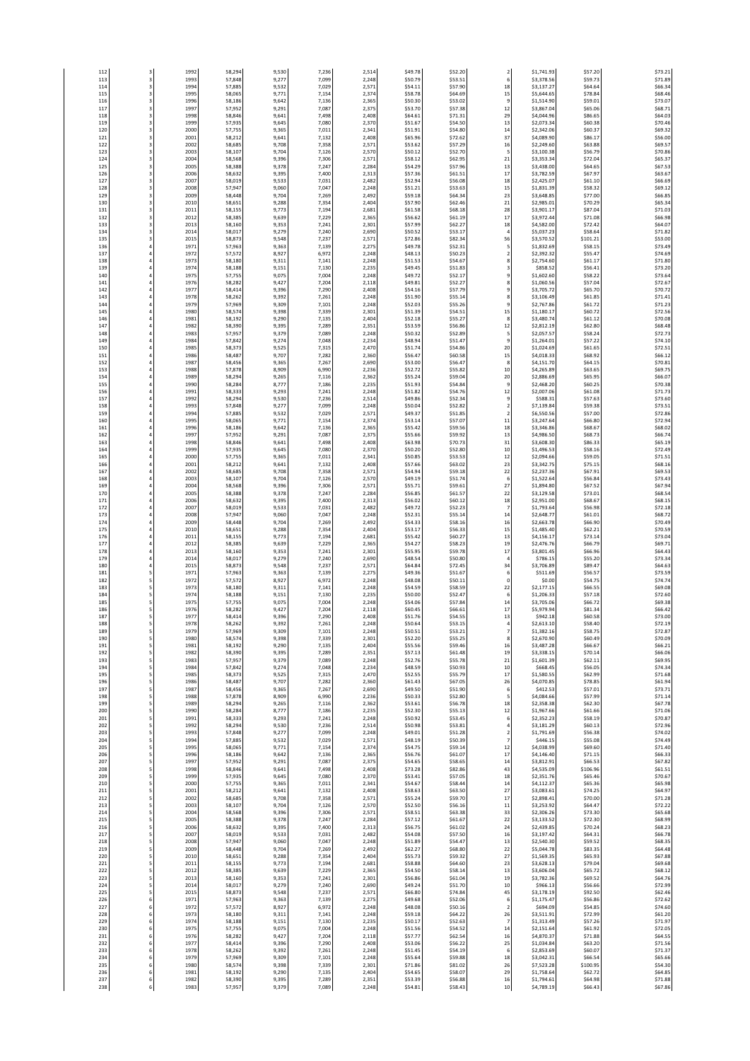| 112<br>113 | 3<br>3                                 | 1992<br>1993 | 58,294<br>57,848 | 9,530<br>9,277 | 7,236<br>7,099 | 2,514<br>2,248 | \$49.78<br>\$50.79 | \$52.20<br>\$53.51 | $\overline{2}$<br>$\boldsymbol{6}$          | \$1,741.93<br>\$3,378.56 | \$57.20<br>\$59.73  | \$73.21<br>\$71.89 |
|------------|----------------------------------------|--------------|------------------|----------------|----------------|----------------|--------------------|--------------------|---------------------------------------------|--------------------------|---------------------|--------------------|
| 114        | 3                                      | 1994         | 57,885           | 9,532          | 7,029          | 2,571          | \$54.11            | \$57.90            | $18\,$                                      | \$3,137.27               | \$64.64             | \$66.34            |
| 115<br>116 | $\overline{\mathbf{3}}$<br>$\mathsf 3$ | 1995<br>1996 | 58,065<br>58,186 | 9,771<br>9,642 | 7,154<br>7,136 | 2,374<br>2,365 | \$58.78<br>\$50.30 | \$64.69<br>\$53.02 | 15<br>9                                     | \$5,644.65<br>\$1,514.90 | \$78.84<br>\$59.01  | \$68.46<br>\$73.07 |
| 117        | 3                                      | 1997         | 57,952           | 9,291          | 7,087          | 2,375          | \$53.70            | \$57.38            | $12\,$                                      | \$3,867.04               | \$65.06             | \$68.71            |
| 118        | $\overline{\mathbf{3}}$<br>3           | 1998<br>1999 | 58,846<br>57,935 | 9,641<br>9,645 | 7,498          | 2,408<br>2,370 | \$64.61            | \$71.31            | 29<br>13                                    | \$4,044.96               | \$86.65             | \$64.0<br>\$70.46  |
| 119<br>120 | 3                                      | 2000         | 57,755           | 9,365          | 7,080<br>7,011 | 2,341          | \$51.67<br>\$51.91 | \$54.50<br>\$54.80 | 14                                          | \$2,073.34<br>\$2,342.06 | \$60.38<br>\$60.37  | \$69.32            |
| 121        | 3                                      | 2001         | 58,212           | 9,641          | 7,132          | 2,408          | \$65.96            | \$72.62            | 37                                          | \$4,089.90               | \$86.17             | \$56.00            |
| 122<br>123 | 3<br>3                                 | 2002<br>2003 | 58,685<br>58,107 | 9,708<br>9,704 | 7,358<br>7,126 | 2,571<br>2,570 | \$53.62<br>\$50.12 | \$57.29<br>\$52.70 | 16<br>5                                     | \$2,249.60<br>\$3,100.38 | \$63.88<br>\$56.79  | \$69.57<br>\$70.86 |
| 124        | $\overline{3}$                         | 2004         | 58,568           | 9,396          | 7,306          | 2,571          | \$58.12            | \$62.95            | 21                                          | \$3,353.34               | \$72.04             | \$65.37            |
| 125<br>126 | 3<br>3                                 | 2005<br>2006 | 58,388<br>58,632 | 9,378<br>9,395 | 7,247<br>7,400 | 2,284<br>2,313 | \$54.29<br>\$57.36 | \$57.96<br>\$61.51 | 13<br>17                                    | \$3,438.00<br>\$3,782.59 | \$64.65<br>\$67.97  | \$67.53<br>\$63.67 |
| 127        | 3                                      | 2007         | 58,019           | 9,533          | 7,031          | 2,482          | \$52.94            | \$56.08            | 18                                          | \$2,425.07               | \$61.10             | \$66.69            |
| 128        | 3<br>$\mathsf 3$                       | 2008         | 57,947           | 9,060          | 7,047          | 2,248          | \$51.21            | \$53.63            | 15<br>23                                    | \$1,831.39               | \$58.32<br>\$77.00  | \$69.12<br>\$66.85 |
| 129<br>130 | $\mathsf 3$                            | 2009<br>2010 | 58,448<br>58,651 | 9,704<br>9,288 | 7,269<br>7,354 | 2,492<br>2,404 | \$59.18<br>\$57.90 | \$64.34<br>\$62.46 | 21                                          | \$3,648.85<br>\$2,985.01 | \$70.29             | \$65.34            |
| 131        | $\overline{3}$                         | 2011         | 58,155           | 9,773          | 7,194          | 2,681          | \$61.58            | \$68.18            | 28                                          | \$3,901.17               | \$87.04             | \$71.0             |
| 132<br>133 | 3<br>3                                 | 2012<br>2013 | 58,385<br>58,160 | 9,639<br>9,353 | 7,229<br>7,241 | 2,365<br>2,301 | \$56.62<br>\$57.99 | \$61.19<br>\$62.27 | 17<br>$18\,$                                | \$3,972.44<br>\$4,582.00 | \$71.08<br>\$72.42  | \$66.98<br>\$64.07 |
| 134        | 3                                      | 2014         | 58,017           | 9,279          | 7,240          | 2,690          | \$50.52            | \$53.17            | $\sqrt{4}$                                  | \$5,037.23               | \$58.64             | \$71.82            |
| 135<br>136 | $\overline{\mathbf{3}}$<br>$\sqrt{4}$  | 2015<br>1971 | 58,873<br>57,963 | 9,548<br>9,363 | 7,237<br>7,139 | 2,571<br>2,275 | \$72.86<br>\$49.78 | \$82.34<br>\$52.31 | 56<br>5                                     | \$3,570.52<br>\$1,832.69 | \$101.21<br>\$58.15 | \$53.00<br>\$73.49 |
| 137        | $\sqrt{4}$                             | 1972         | 57,572           | 8,927          | 6,972          | 2,248          | \$48.13            | \$50.23            | $\overline{2}$                              | \$2,392.32               | \$55.47             | \$74.69            |
| 138<br>139 | $\sqrt{4}$<br>$\sqrt{4}$               | 1973<br>1974 | 58,180<br>58,188 | 9,311<br>9,151 | 7,141<br>7,130 | 2,248<br>2,235 | \$51.53<br>\$49.45 | \$54.67<br>\$51.83 | 8<br>$\overline{\mathbf{3}}$                | \$2,754.60<br>\$858.52   | \$61.17<br>\$56.41  | \$71.80<br>\$73.20 |
| 140        | $\it 4$                                | 1975         | 57,755           | 9,075          | 7,004          | 2,248          | \$49.72            | \$52.17            | 9                                           | \$1,602.60               | \$58.22             | \$73.64            |
| 141<br>142 | $\it 4$<br>$\sqrt{4}$                  | 1976<br>1977 | 58,282<br>58,414 | 9,427<br>9,396 | 7,204<br>7,290 | 2,118<br>2,408 | \$49.81<br>\$54.16 | \$52.27<br>\$57.79 | 8<br>9                                      | \$1,060.56<br>\$3,705.72 | \$57.04<br>\$65.70  | \$72.67<br>\$70.72 |
| 143        | $\sqrt{4}$                             | 1978         | 58,262           | 9,392          | 7,261          | 2,248          | \$51.90            | \$55.14            | 8                                           | \$3,106.49               | \$61.85             | \$71.41            |
| 144        | $\overline{4}$<br>$\sqrt{4}$           | 1979         | 57,969           | 9,309          | 7,101          | 2,248          | \$52.03            | \$55.26            | $\overline{9}$                              | \$2,767.86               | \$61.72             | \$71.23            |
| 145<br>146 | $\it 4$                                | 1980<br>1981 | 58,574<br>58,192 | 9,398<br>9,290 | 7,339<br>7,135 | 2,301<br>2,404 | \$51.39<br>\$52.18 | \$54.51<br>\$55.27 | 15<br>8                                     | \$1,180.17<br>\$3,480.74 | \$60.72<br>\$61.12  | \$72.56<br>\$70.08 |
| 147        | $\it 4$                                | 1982         | 58,390           | 9,395          | 7,289          | 2,351          | \$53.59            | \$56.86            | $12\,$                                      | \$2,812.19               | \$62.80             | \$68.48            |
| 148<br>149 | $\it 4$<br>$\overline{4}$              | 1983<br>1984 | 57,957<br>57,842 | 9,379<br>9,274 | 7,089<br>7,048 | 2,248<br>2,234 | \$50.32<br>\$48.94 | \$52.89<br>\$51.47 | 5<br>$\,9$                                  | \$2,057.57<br>\$1,264.01 | \$58.24<br>\$57.22  | \$72.73<br>\$74.10 |
| 150        | $\it 4$                                | 1985         | 58,373           | 9,525          | 7,315          | 2,470          | \$51.74            | \$54.86            | 20                                          | \$1,024.69               | \$61.65             | \$72.51            |
| 151<br>152 | $\it 4$<br>$\it 4$                     | 1986<br>1987 | 58,487<br>58,456 | 9,707<br>9,365 | 7,282<br>7,267 | 2,360<br>2,690 | \$56.47<br>\$53.00 | \$60.58<br>\$56.47 | 15<br>8                                     | \$4,018.33<br>\$4,151.70 | \$68.92<br>\$64.15  | \$66.12<br>\$70.81 |
| 153        | $\it 4$                                | 1988         | 57,878           | 8,909          | 6,990          | 2,236          | \$52.72            | \$55.82            | $10\,$                                      | \$4,265.89               | \$63.65             | \$69.75            |
| 154<br>155 | $\it 4$<br>$\sqrt{4}$                  | 1989<br>1990 | 58,294<br>58,284 | 9,265<br>8,777 | 7,116<br>7,186 | 2,362<br>2,235 | \$55.24<br>\$51.93 | \$59.04<br>\$54.84 | 20<br>$\boldsymbol{9}$                      | \$2,886.69<br>\$2,468.20 | \$65.95<br>\$60.25  | \$66.07<br>\$70.38 |
| 156        | $\sqrt{4}$                             | 1991         | 58,333           | 9,293          | 7,241          | 2,248          | \$51.82            | \$54.76            | $12\,$                                      | \$2,007.06               | \$61.08             | \$71.73            |
| 157<br>158 | $\sqrt{4}$<br>$\sqrt{4}$               | 1992<br>1993 | 58,294<br>57,848 | 9,530<br>9,277 | 7,236<br>7,099 | 2,514<br>2,248 | \$49.86<br>\$50.04 | \$52.34<br>\$52.82 | $\boldsymbol{9}$<br>$\overline{\mathbf{c}}$ | \$588.31<br>\$7,139.84   | \$57.63<br>\$59.38  | \$73.60<br>\$73.51 |
| 159        | $\it 4$                                | 1994         | 57,885           | 9,532          | 7,029          | 2,571          | \$49.37            | \$51.85            | $\sqrt{2}$                                  | \$6,550.56               | \$57.00             | \$72.86            |
| 160<br>161 | $\sqrt{4}$<br>$\sqrt{4}$               | 1995<br>1996 | 58,065<br>58,186 | 9,771<br>9,642 | 7,154          | 2,374<br>2,365 | \$53.14<br>\$55.42 | \$57.07<br>\$59.56 | $\bf{11}$<br>18                             | \$3,247.64               | \$66.80<br>\$68.67  | \$72.94            |
| 162        | $\overline{4}$                         | 1997         | 57,952           | 9,291          | 7,136<br>7,087 | 2,375          | \$55.66            | \$59.92            | 13                                          | \$3,346.86<br>\$4,986.50 | \$68.73             | \$68.02<br>\$66.74 |
| 163        | $\sqrt{4}$                             | 1998         | 58,846           | 9,641          | 7,498          | 2,408          | \$63.98            | \$70.73            | 31                                          | \$3,608.30               | \$86.33             | \$65.19            |
| 164<br>165 | $\sqrt{4}$<br>$\it 4$                  | 1999<br>2000 | 57,935<br>57,755 | 9,645<br>9,365 | 7,080<br>7,011 | 2,370<br>2,341 | \$50.20<br>\$50.85 | \$52.80<br>\$53.53 | $10\,$<br>12                                | \$1,496.53<br>\$2,094.66 | \$58.16<br>\$59.05  | \$72.49<br>\$71.51 |
| 166        | $\it 4$                                | 2001         | 58,212           | 9,641          | 7,132          | 2,408          | \$57.66            | \$63.02            | 23                                          | \$3,342.75               | \$75.15             | \$68.16            |
| 167<br>168 | $\sqrt{4}$<br>$\sqrt{4}$               | 2002<br>2003 | 58,685<br>58,107 | 9,708<br>9,704 | 7,358<br>7,126 | 2,571<br>2,570 | \$54.94<br>\$49.19 | \$59.18<br>\$51.74 | 22<br>6                                     | \$2,237.36<br>\$1,522.64 | \$67.91<br>\$56.84  | \$69.53<br>\$73.43 |
| 169        | $\overline{4}$                         | 2004         | 58,568           | 9,396          | 7,306          | 2,571          | \$55.71            | \$59.61            | 27                                          | \$1,894.80               | \$67.52             | \$67.94            |
| 170<br>171 | $\sqrt{4}$<br>$\overline{4}$           | 2005<br>2006 | 58,388<br>58,632 | 9,378<br>9,395 | 7,247<br>7,400 | 2,284<br>2,313 | \$56.85<br>\$56.02 | \$61.57<br>\$60.12 | 22<br>$18\,$                                | \$3,129.58<br>\$2,951.00 | \$73.01<br>\$68.67  | \$68.54<br>\$68.15 |
| 172        | $\it 4$                                | 2007         | 58,019           | 9,533          | 7,031          | 2,482          | \$49.72            | \$52.23            | $\overline{7}$                              | \$1,793.64               | \$56.98             | \$72.18            |
| 173<br>174 | $\sqrt{4}$<br>$\it 4$                  | 2008<br>2009 | 57,947<br>58,448 | 9,060<br>9,704 | 7,047<br>7,269 | 2,248<br>2,492 | \$52.31<br>\$54.33 | \$55.14<br>\$58.16 | $14\,$<br>$16\,$                            | \$2,648.77<br>\$2,663.78 | \$61.01<br>\$66.90  | \$68.72<br>\$70.49 |
| 175        | $\overline{4}$                         | 2010         | 58,651           | 9,288          | 7,354          | 2,404          | \$53.17            | \$56.33            | 15                                          | \$1,485.40               | \$62.21             | \$70.59            |
| 176<br>177 | $\it 4$<br>$\it 4$                     | 2011<br>2012 | 58,155<br>58,385 | 9,773<br>9,639 | 7,194<br>7,229 | 2,681<br>2,365 | \$55.42<br>\$54.27 | \$60.27<br>\$58.23 | 13<br>19                                    | \$4,156.17<br>\$2,476.76 | \$73.14<br>\$66.79  | \$73.04<br>\$69.71 |
| 178        | $\it 4$                                | 2013         | 58,160           | 9,353          | 7,241          | 2,301          | \$55.95            | \$59.78            | 17                                          | \$3,801.45               | \$66.96             | \$64.43            |
| 179<br>180 | $\it 4$<br>$\sqrt{4}$                  | 2014         | 58,017           | 9,279          | 7,240          | 2,690<br>2,571 | \$48.54            | \$50.80            | $\overline{4}$<br>34                        | \$786.15<br>\$3,706.89   | \$55.20             | \$73.34            |
| 181        | 5                                      | 2015<br>1971 | 58,873<br>57,963 | 9,548<br>9,363 | 7,237<br>7,139 | 2,275          | \$64.84<br>\$49.36 | \$72.45<br>\$51.67 | 6                                           | \$511.69                 | \$89.47<br>\$56.57  | \$64.63<br>\$73.59 |
| 182        | 5                                      | 1972         | 57,572           | 8,927          | 6,972          | 2,248          | \$48.08            | \$50.11            | $\pmb{0}$                                   | \$0.00                   | \$54.75             | \$74.74            |
| 183<br>184 | 5<br>5                                 | 1973<br>1974 | 58,180<br>58,188 | 9,311<br>9,151 | 7,141<br>7,130 | 2,248<br>2,235 | \$54.59<br>\$50.00 | \$58.59<br>\$52.47 | 22<br>6                                     | \$2,177.15<br>\$1,206.33 | \$66.55<br>\$57.18  | \$69.08<br>\$72.60 |
| 185        | 5                                      | 1975         | 57,755           | 9,075          | 7,004          | 2,248          | \$54.06            | \$57.84            | $14\,$                                      | \$3,705.06               | \$66.72             | \$69.38            |
| 186<br>187 | 5<br>5                                 | 1976<br>1977 | 58,282<br>58,414 | 9,427<br>9,396 | 7,204<br>7,290 | 2,118<br>2,408 | \$60.45<br>\$51.76 | \$66.61<br>\$54.55 | $17\,$<br>13                                | \$5,979.94<br>\$942.18   | \$81.34<br>\$60.58  | \$66.42<br>\$73.00 |
| 188        | 5                                      | 1978         | 58,262           | 9,392          | 7,261          | 2,248          | \$50.64            | \$53.15            | $\sqrt{4}$                                  | \$2,613.10               | \$58.40             | \$72.19            |
| 189<br>190 | 5                                      | 1979<br>1980 | 57,969<br>58,574 | 9,309<br>9,398 | 7,101<br>7,339 | 2,248<br>2,301 | \$50.51<br>\$52.20 | \$53.21<br>\$55.25 | $\overline{7}$<br>8                         | \$1,382.16<br>\$2,670.90 | \$58.75<br>\$60.49  | \$72.87<br>\$70.09 |
| 191        | 5<br>5                                 | 1981         | 58,192           | 9,290          | 7,135          | 2,404          | \$55.56            | \$59.46            | $16\,$                                      | \$3,487.28               | \$66.67             | \$66.21            |
| 192<br>193 | $\sf S$<br>5                           | 1982<br>1983 | 58,390<br>57,957 | 9,395<br>9,379 | 7,289<br>7,089 | 2,351<br>2,248 | \$57.13<br>\$52.76 | \$61.48<br>\$55.78 | 19<br>$21\,$                                | \$3,338.15<br>\$1,601.39 | \$70.14<br>\$62.11  | \$66.06<br>\$69.95 |
| 194        | 5                                      | 1984         | 57,842           | 9,274          | 7,048          | 2,234          | \$48.59            | \$50.93            | $10\,$                                      | \$668.45                 | \$56.05             | \$74.34            |
| 195<br>196 | 5<br>5                                 | 1985<br>1986 | 58,373<br>58,487 | 9,525<br>9,707 | 7,315<br>7,282 | 2,470<br>2,360 | \$52.55<br>\$61.43 | \$55.79<br>\$67.05 | 17<br>26                                    | \$1,580.55<br>\$4,070.85 | \$62.99<br>\$78.85  | \$71.68<br>\$61.94 |
| 197        | 5                                      | 1987         | 58,456           | 9,365          | 7,267          | 2,690          | \$49.50            | \$51.90            | 6                                           | \$412.53                 | \$57.01             | \$73.71            |
| 198<br>199 | 5<br>5                                 | 1988<br>1989 | 57,878<br>58,294 | 8,909<br>9,265 | 6,990<br>7,116 | 2,236<br>2,362 | \$50.33<br>\$53.61 | \$52.80<br>\$56.78 | 5<br>18                                     | \$4,084.66<br>\$2,358.38 | \$57.99<br>\$62.30  | \$71.14<br>\$67.78 |
| 200        | 5                                      | 1990         | 58,284           | 8,777          | 7,186          | 2,235          | \$52.30            | \$55.13            | 12                                          | \$1,967.66               | \$61.66             | \$71.06            |
| 201<br>202 | 5<br>5                                 | 1991<br>1992 | 58,333<br>58,294 | 9,293<br>9,530 | 7,241<br>7,236 | 2,248<br>2,514 | \$50.92<br>\$50.98 | \$53.45<br>\$53.81 | 6<br>$\ddot{a}$                             | \$2,352.23<br>\$3,181.29 | \$58.19<br>\$60.13  | \$70.87<br>\$72.96 |
| 203        | 5                                      | 1993         | 57,848           | 9,277          | 7,099          | 2,248          | \$49.01            | \$51.28            | $\overline{\mathbf{c}}$                     | \$1,791.69               | \$56.38             | \$74.02            |
| 204<br>205 | 5<br>5                                 | 1994<br>1995 | 57,885<br>58,065 | 9,532<br>9,771 | 7,029<br>7,154 | 2,571<br>2,374 | \$48.19<br>\$54.75 | \$50.39<br>\$59.14 | $\overline{\phantom{a}}$<br>$12\,$          | \$446.15<br>\$4,038.99   | \$55.08<br>\$69.60  | \$74.49<br>\$71.40 |
| 206        | 5                                      | 1996         | 58,186           | 9,642          | 7,136          | 2,365          | \$56.76            | \$61.07            | $17\,$                                      | \$4,146.40               | \$71.15             | \$66.33            |
| 207<br>208 | 5<br>5                                 | 1997<br>1998 | 57,952<br>58,846 | 9,291<br>9,641 | 7,087<br>7,498 | 2,375<br>2,408 | \$54.65<br>\$73.28 | \$58.65<br>\$82.86 | $14\,$<br>43                                | \$3,812.91<br>\$4,535.09 | \$66.53<br>\$106.96 | \$67.82<br>\$61.51 |
| 209        | 5                                      | 1999         | 57,935           | 9,645          | 7,080          | 2,370          | \$53.41            | \$57.05            | 18                                          | \$2,351.76               | \$65.46             | \$70.67            |
| 210<br>211 | 5<br>5                                 | 2000<br>2001 | 57,755<br>58,212 | 9,365<br>9,641 | 7,011<br>7,132 | 2,341<br>2,408 | \$54.67<br>\$58.63 | \$58.44<br>\$63.50 | $14\,$<br>27                                | \$4,112.37<br>\$3,083.61 | \$65.36<br>\$74.25  | \$65.98<br>\$64.97 |
| 212        | 5                                      | 2002         | 58,685           | 9,708          | 7,358          | 2,571          | \$55.24            | \$59.70            | 17                                          | \$2,898.41               | \$70.00             | \$71.28            |
| 213<br>214 | 5<br>5                                 | 2003<br>2004 | 58,107<br>58,568 | 9,704<br>9,396 | 7,126<br>7,306 | 2,570<br>2,571 | \$52.50<br>\$58.51 | \$56.16<br>\$63.38 | 11<br>33                                    | \$3,253.92<br>\$2,306.26 | \$64.47<br>\$73.30  | \$72.22<br>\$65.68 |
| 215        | 5<br>5                                 | 2005         | 58,388           | 9,378          | 7,247          | 2,284          | \$57.12            | \$61.67            | 22                                          | \$3,133.52               | \$72.30             | \$68.99            |
| 216<br>217 | 5                                      | 2006<br>2007 | 58,632<br>58,019 | 9,395<br>9,533 | 7,400<br>7,031 | 2,313<br>2,482 | \$56.75<br>\$54.08 | \$61.02<br>\$57.50 | 24<br>$16\,$                                | \$2,439.85<br>\$3,197.42 | \$70.24<br>\$64.31  | \$68.23<br>\$66.78 |
| 218        | 5                                      | 2008         | 57,947           | 9,060          | 7,047          | 2,248          | \$51.89            | \$54.47            | 13                                          | \$2,540.30               | \$59.52             | \$68.35            |
| 219<br>220 | 5<br>5                                 | 2009<br>2010 | 58,448<br>58,651 | 9,704<br>9,288 | 7,269<br>7,354 | 2,492<br>2,404 | \$62.27<br>\$55.73 | \$68.80<br>\$59.32 | 22<br>27                                    | \$5,044.78<br>\$1,569.35 | \$83.35<br>\$65.93  | \$64.48<br>\$67.88 |
| 221        | 5                                      | 2011         | 58,155           | 9,773          | 7,194          | 2,681          | \$58.88            | \$64.60            | 23                                          | \$3,628.13               | \$79.04             | \$69.68            |
| 222<br>223 | 5<br>5                                 | 2012         | 58,385           | 9,639          | 7,229          | 2,365          | \$54.50            | \$58.14            | 13                                          | \$3,606.04               | \$65.72             | \$68.12            |
| 224        | 5                                      | 2013<br>2014 | 58,160<br>58,017 | 9,353<br>9,279 | 7,241<br>7,240 | 2,301<br>2,690 | \$56.86<br>\$49.24 | \$61.04<br>\$51.70 | 19<br>$10\,$                                | \$3,782.36<br>\$966.13   | \$69.52<br>\$56.66  | \$64.76<br>\$72.99 |
| 225<br>226 | 5<br>6                                 | 2015<br>1971 | 58,873<br>57,963 | 9,548<br>9,363 | 7,237          | 2,571          | \$66.80<br>\$49.68 | \$74.84<br>\$52.06 | 45                                          | \$3,178.19               | \$92.50<br>\$56.86  | \$62.46            |
| 227        | 6                                      | 1972         | 57,572           | 8,927          | 7,139<br>6,972 | 2,275<br>2,248 | \$48.08            | \$50.16            | 6<br>$\sqrt{2}$                             | \$1,175.47<br>\$694.09   | \$54.85             | \$72.62<br>\$74.60 |
| 228        | 6                                      | 1973         | 58,180           | 9,311          | 7,141          | 2,248          | \$59.18            | \$64.22            | 26                                          | \$3,511.91               | \$72.99             | \$61.20            |
| 229<br>230 | 6<br>6                                 | 1974<br>1975 | 58,188<br>57,755 | 9,151<br>9,075 | 7,130<br>7,004 | 2,235<br>2,248 | \$50.17<br>\$51.56 | \$52.63<br>\$54.52 | $\overline{7}$<br>$14\,$                    | \$1,313.49<br>\$2,151.64 | \$57.26<br>\$61.92  | \$71.97<br>\$72.05 |
| 231        | 6                                      | 1976         | 58,282           | 9,427          | 7,204          | 2,118          | \$57.77            | \$62.54            | $16\,$                                      | \$4,870.37               | \$71.88             | \$64.55            |
| 232<br>233 | 6<br>6                                 | 1977<br>1978 | 58,414<br>58,262 | 9,396<br>9,392 | 7,290<br>7,261 | 2,408<br>2,248 | \$53.06<br>\$51.45 | \$56.22<br>\$54.19 | 25<br>6                                     | \$1,034.84<br>\$2,853.69 | \$63.20<br>\$60.07  | \$71.56<br>\$71.37 |
| 234        | 6                                      | 1979         | 57,969           | 9,309          | 7,101          | 2,248          | \$55.64            | \$59.88            | 18                                          | \$3,042.31               | \$66.54             | \$65.66            |
| 235<br>236 | 6<br>6                                 | 1980<br>1981 | 58,574<br>58,192 | 9,398<br>9,290 | 7,339<br>7,135 | 2,301<br>2,404 | \$71.86<br>\$54.65 | \$81.02<br>\$58.07 | 26<br>29                                    | \$7,523.28<br>\$1,758.64 | \$100.95<br>\$62.72 | \$54.30<br>\$64.85 |
| 237        | 6                                      | 1982         | 58,390           | 9,395          | 7,289          | 2,351          | \$53.39            | \$56.88            | $16\,$                                      | \$1,794.61               | \$64.98             | \$71.88            |
| 238        | 6                                      | 1983         | 57,957           | 9,379          | 7,089          | 2,248          | \$54.81            | \$58.43            | $10\,$                                      | \$4,789.19               | \$66.43             | \$67.86            |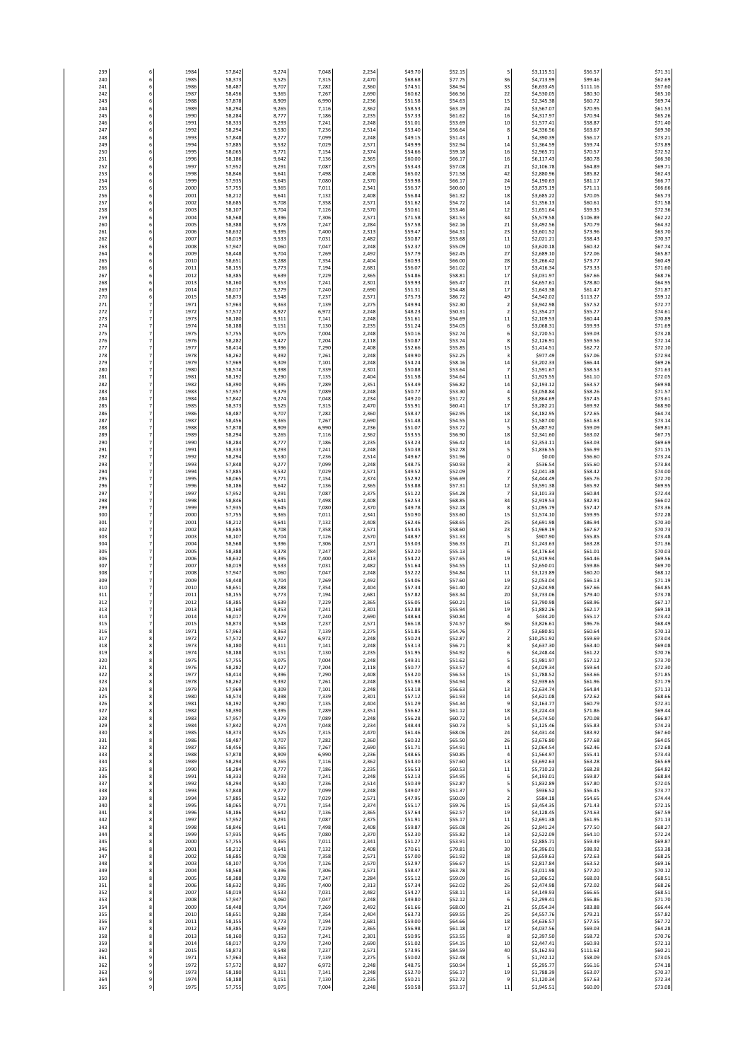| 239<br>240 | 6<br>6                                               | 1984<br>1985 | 57,842<br>58,373 | 9,274<br>9,525 | 7,048<br>7,315 | 2,234<br>2,470 | \$49.70<br>\$68.68 | \$52.15<br>\$77.75 | 5<br>36                                   | \$3,115.51<br>\$4,713.99 | \$56.57<br>\$99.46 | \$71.31<br>\$62.69 |
|------------|------------------------------------------------------|--------------|------------------|----------------|----------------|----------------|--------------------|--------------------|-------------------------------------------|--------------------------|--------------------|--------------------|
| 241        | 6                                                    | 1986         | 58,487           | 9,707          | 7,282          | 2,360          | \$74.51            | \$84.94            | 33                                        | \$6,633.45               | \$111.16           | \$57.60            |
| 242        | 6                                                    | 1987         | 58,456           | 9,365          | 7,267          | 2,690          | \$60.62            | \$66.56            | 22                                        | \$4,530.05               | \$80.30            | \$65.10            |
| 243<br>244 | 6<br>6                                               | 1988<br>1989 | 57,878<br>58,294 | 8,909<br>9,265 | 6,990<br>7,116 | 2,236<br>2,362 | \$51.58<br>\$58.53 | \$54.63<br>\$63.19 | 15<br>24                                  | \$2,345.38<br>\$3,567.07 | \$60.72<br>\$70.95 | \$69.74<br>\$61.53 |
| 245        | 6                                                    | 1990         | 58,284           | 8,777          | 7,186          | 2,235          | \$57.33            | \$61.62            | $16\,$                                    | \$4,317.97               | \$70.94            | \$65.26            |
| 246        | 6                                                    | 1991         | 58,333           | 9,293          | 7,241          | 2,248          | \$51.01            | \$53.69            | $10\,$                                    | \$1,577.41               | \$58.87            | \$71.40            |
| 247<br>248 | 6<br>6                                               | 1992<br>1993 | 58,294<br>57,848 | 9,530<br>9,277 | 7,236<br>7,099 | 2,514<br>2,248 | \$53.40<br>\$49.15 | \$56.64<br>\$51.43 | $\bf 8$<br>$\,$ 1                         | \$4,336.56<br>\$4,390.39 | \$63.67<br>\$56.17 | \$69.30<br>\$73.21 |
| 249        | 6                                                    | 1994         | 57,885           | 9,532          | 7,029          | 2,571          | \$49.99            | \$52.94            | $14\,$                                    | \$1,364.59               | \$59.74            | \$73.89            |
| 250        | 6                                                    | 1995         | 58,065           | 9,771          | 7,154          | 2,374          | \$54.66            | \$59.18            | 16                                        | \$2,965.71               | \$70.57            | \$72.52            |
| 251        | 6                                                    | 1996         | 58,186           | 9,642          | 7,136          | 2,365          | \$60.00            | \$66.17            | 16                                        | \$6,117.43               | \$80.78            | \$66.30            |
| 252<br>253 | 6<br>6                                               | 1997<br>1998 | 57,952<br>58,846 | 9,291<br>9,641 | 7,087<br>7,498 | 2,375<br>2,408 | \$53.43<br>\$65.02 | \$57.08<br>\$71.58 | 21<br>42                                  | \$2,106.78<br>\$2,880.96 | \$64.89<br>\$85.82 | \$69.71<br>\$62.43 |
| 254        | 6                                                    | 1999         | 57,935           | 9,645          | 7,080          | 2,370          | \$59.98            | \$66.17            | 24                                        | \$4,190.63               | \$81.17            | \$66.77            |
| 255        | 6                                                    | 2000         | 57,755           | 9,365          | 7,011          | 2,341          | \$56.37            | \$60.60            | 19                                        | \$3,875.19               | \$71.11            | \$66.66            |
| 256<br>257 | 6<br>6                                               | 200<br>2002  | 58,212<br>58,685 | 9,641<br>9,708 | 7,132<br>7,358 | 2,408<br>2,571 | \$56.84<br>\$51.62 | \$61.32<br>\$54.72 | 18<br>$14\,$                              | \$3,685.22<br>\$1,356.13 | \$70.05<br>\$60.61 | \$65.73<br>\$71.58 |
| 258        | 6                                                    | 2003         | 58,107           | 9,704          | 7,126          | 2,570          | \$50.61            | \$53.46            | 12                                        | \$1,651.64               | \$59.35            | \$72.36            |
| 259        | 6                                                    | 2004         | 58,568           | 9,396          | 7,306          | 2,571          | \$71.58            | \$81.53            | 34                                        | \$5,579.58               | \$106.89           | \$62.22            |
| 260<br>261 | 6<br>6                                               | 2005<br>2006 | 58,388<br>58,632 | 9,378<br>9,395 | 7,247<br>7,400 | 2,284<br>2,313 | \$57.58<br>\$59.47 | \$62.16<br>\$64.31 | 21<br>23                                  | \$3,492.56<br>\$3,601.52 | \$70.79<br>\$73.96 | \$64.32<br>\$63.70 |
| 262        | 6                                                    | 2007         | 58,019           | 9,533          | 7,031          | 2,482          | \$50.87            | \$53.68            | $11\,$                                    | \$2,021.21               | \$58.43            | \$70.37            |
| 263        | 6                                                    | 2008         | 57,947           | 9,060          | 7,047          | 2,248          | \$52.37            | \$55.09            | $10\,$                                    | \$3,620.18               | \$60.32            | \$67.74            |
| 264<br>265 | 6<br>6                                               | 2009<br>2010 | 58,448<br>58,651 | 9,704<br>9,288 | 7,269<br>7,354 | 2,492<br>2,404 | \$57.79<br>\$60.93 | \$62.45<br>\$66.00 | 27<br>28                                  | \$2,689.10<br>\$3,266.42 | \$72.06<br>\$73.77 | \$65.87<br>\$60.49 |
| 266        | 6                                                    | 2011         | 58,155           | 9,773          | 7,194          | 2,681          | \$56.07            | \$61.02            | 17                                        | \$3,416.34               | \$73.33            | \$71.60            |
| 267        | 6                                                    | 2012         | 58,385           | 9,639          | 7,229          | 2,365          | \$54.86            | \$58.81            | 17                                        | \$3,031.97               | \$67.66            | \$68.76            |
| 268<br>269 | 6<br>6                                               | 2013<br>2014 | 58,160<br>58,017 | 9,353<br>9,279 | 7,241<br>7,240 | 2,301<br>2,690 | \$59.93<br>\$51.31 | \$65.47<br>\$54.48 | 21<br>17                                  | \$4,657.61<br>\$1,643.38 | \$78.80<br>\$61.47 | \$64.95<br>\$71.87 |
| 270        | 6                                                    | 2015         | 58,873           | 9,548          | 7,237          | 2,571          | \$75.73            | \$86.72            | 49                                        | \$4,542.02               | \$113.27           | \$59.12            |
| 271        | $\overline{7}$                                       | 1971         | 57,963           | 9,363          | 7,139          | 2,275          | \$49.94            | \$52.30            | $\overline{2}$                            | \$3,942.98               | \$57.52            | \$72.77            |
| 272        | $\overline{7}$<br>$\overline{7}$                     | 1972         | 57,572           | 8,927          | 6,972          | 2,248          | \$48.23            | \$50.31            | $\sqrt{2}$<br>$11\,$                      | \$1,354.27               | \$55.27            | \$74.61<br>\$70.89 |
| 273<br>274 | $\overline{7}$                                       | 1973<br>1974 | 58,180<br>58,188 | 9,311<br>9,151 | 7,141<br>7,130 | 2,248<br>2,235 | \$51.61<br>\$51.24 | \$54.69<br>\$54.05 | 6                                         | \$2,109.53<br>\$3,068.31 | \$60.44<br>\$59.93 | \$71.69            |
| 275        | $\overline{\phantom{a}}$                             | 1975         | 57,755           | 9,075          | 7,004          | 2,248          | \$50.16            | \$52.74            | 6                                         | \$2,720.51               | \$59.03            | \$73.28            |
| 276        | $\overline{7}$                                       | 1976         | 58,282           | 9,427          | 7,204          | 2,118          | \$50.87            | \$53.74            | $\bf{8}$                                  | \$2,126.91               | \$59.56            | \$72.14            |
| 277<br>278 | $\overline{7}$<br>$\overline{7}$                     | 1977<br>1978 | 58,414<br>58,262 | 9,396<br>9,392 | 7,290<br>7,261 | 2,408<br>2,248 | \$52.66<br>\$49.90 | \$55.85<br>\$52.25 | 15<br>3                                   | \$1,414.51<br>\$977.49   | \$62.72<br>\$57.06 | \$72.10<br>\$72.94 |
| 279        | $\overline{7}$                                       | 1979         | 57,969           | 9,309          | 7,101          | 2,248          | \$54.24            | \$58.16            | $14\,$                                    | \$3,202.33               | \$66.44            | \$69.26            |
| 280        | $\overline{\phantom{a}}$                             | 1980         | 58,574           | 9,398          | 7,339          | 2,301          | \$50.88            | \$53.64            | $\overline{7}$                            | \$1,591.67               | \$58.53            | \$71.63            |
| 281<br>282 | $\overline{\phantom{a}}$<br>$\overline{\phantom{a}}$ | 1981<br>1982 | 58,192<br>58,390 | 9,290<br>9,395 | 7,135<br>7,289 | 2,404<br>2,351 | \$51.58<br>\$53.49 | \$54.64<br>\$56.82 | $11\,$<br>$14\,$                          | \$1,925.55<br>\$2,193.12 | \$61.10<br>\$63.57 | \$72.05<br>\$69.98 |
| 283        | $\overline{\phantom{a}}$                             | 1983         | 57,957           | 9,379          | 7,089          | 2,248          | \$50.77            | \$53.30            | $\overline{a}$                            | \$3,058.84               | \$58.26            | \$71.57            |
| 284        | $\overline{7}$                                       | 1984         | 57,842           | 9,274          | 7,048          | 2,234          | \$49.20            | \$51.72            | $\,$ 3                                    | \$3,864.69               | \$57.45            | \$73.61            |
| 285<br>286 | $\overline{7}$<br>$\overline{\phantom{a}}$           | 1985<br>1986 | 58,373<br>58,487 | 9,525<br>9,707 | 7,315<br>7,282 | 2,470<br>2,360 | \$55.91<br>\$58.37 | \$60.41<br>\$62.95 | 17<br>18                                  | \$3,282.21<br>\$4,182.95 | \$69.92<br>\$72.65 | \$68.90<br>\$64.74 |
| 287        | $\overline{\phantom{a}}$                             | 1987         | 58,456           | 9,365          | 7,267          | 2,690          | \$51.48            | \$54.55            | $12\,$                                    | \$1,587.00               | \$61.63            | \$73.14            |
| 288        | $\overline{7}$                                       | 1988         | 57,878           | 8,909          | 6,990          | 2,236          | \$51.07            | \$53.72            | 5                                         | \$5,487.92               | \$59.09            | \$69.81            |
| 289<br>290 | $\overline{7}$<br>$\overline{7}$                     | 1989<br>1990 | 58,294<br>58,284 | 9,265<br>8,777 | 7,116<br>7,186 | 2,362<br>2,235 | \$53.55<br>\$53.23 | \$56.90<br>\$56.42 | 18<br>14                                  | \$2,341.60<br>\$2,353.11 | \$63.02<br>\$63.03 | \$67.75<br>\$69.69 |
| 291        | $\overline{7}$                                       | 1991         | 58,333           | 9,293          | 7,241          | 2,248          | \$50.38            | \$52.78            | 5                                         | \$1,836.55               | \$56.99            | \$71.15            |
| 292        | $\overline{\phantom{a}}$                             | 1992         | 58,294           | 9,530          | 7,236          | 2,514          | \$49.67            | \$51.96            | $\bf{0}$                                  | \$0.00                   | \$56.60            | \$73.24            |
| 293<br>294 | $\overline{\phantom{a}}$<br>$\overline{7}$           | 1993         | 57,848           | 9,277          | 7,099          | 2,248          | \$48.75            | \$50.93            | $\overline{\mathbf{3}}$<br>$\overline{7}$ | \$536.54                 | \$55.60            | \$73.84            |
| 295        | $\overline{7}$                                       | 1994<br>1995 | 57,885<br>58,065 | 9,532<br>9,771 | 7,029<br>7,154 | 2,571<br>2,374 | \$49.52<br>\$52.92 | \$52.09<br>\$56.69 | $\overline{\phantom{a}}$                  | \$2,041.38<br>\$4,444.49 | \$58.42<br>\$65.76 | \$74.00<br>\$72.70 |
| 296        | $\overline{7}$                                       | 1996         | 58,186           | 9,642          | 7,136          | 2,365          | \$53.88            | \$57.31            | $12\,$                                    | \$3,591.38               | \$65.92            | \$69.95            |
| 297        | $\overline{7}$                                       | 1997         | 57,952           | 9,291          | 7,087          | 2,375          | \$51.22            | \$54.28            | $\overline{\phantom{a}}$                  | \$3,101.33               | \$60.84            | \$72.44            |
| 298<br>299 | $\overline{7}$<br>$\overline{\phantom{a}}$           | 1998<br>1999 | 58,846<br>57,935 | 9,641<br>9,645 | 7,498<br>7,080 | 2,408<br>2,370 | \$62.53<br>\$49.78 | \$68.85<br>\$52.18 | 34<br>8                                   | \$2,919.53<br>\$1,095.79 | \$82.91<br>\$57.47 | \$66.02<br>\$73.36 |
| 300        | $\overline{\phantom{a}}$                             | 2000         | 57,755           | 9,365          | 7,011          | 2,341          | \$50.90            | \$53.60            | 15                                        | \$1,574.10               | \$59.95            | \$72.28            |
| 301        | $\overline{\phantom{a}}$                             | 2001         | 58,212           | 9,641          | 7,132          | 2,408          | \$62.46            | \$68.65            | 25                                        | \$4,691.98               | \$86.94            | \$70.30            |
| 302<br>303 | $\overline{7}$<br>$\overline{7}$                     | 2002<br>2003 | 58,685<br>58,107 | 9,708<br>9,704 | 7,358<br>7,126 | 2,571<br>2,570 | \$54.45<br>\$48.97 | \$58.60<br>\$51.33 | 23<br>5                                   | \$1,969.19<br>\$907.90   | \$67.67<br>\$55.85 | \$70.73<br>\$73.48 |
| 304        | $\overline{7}$                                       | 2004         | 58,568           | 9,396          | 7,306          | 2,571          | \$53.03            | \$56.33            | 21                                        | \$1,243.63               | \$63.28            | \$71.36            |
| 305        | $\overline{7}$                                       | 2005         | 58,388           | 9,378          | 7,247          | 2,284          | \$52.20            | \$55.13            | 6                                         | \$4,176.64               | \$61.01            | \$70.0             |
| 306<br>307 | $\overline{\phantom{a}}$<br>$\overline{\phantom{a}}$ | 2006<br>2007 | 58,632<br>58,019 | 9,395<br>9,533 | 7,400<br>7,031 | 2,313<br>2,482 | \$54.22<br>\$51.64 | \$57.65<br>\$54.55 | 19<br>$11\,$                              | \$1,919.94<br>\$2,650.01 | \$64.46<br>\$59.86 | \$69.56<br>\$69.70 |
| 308        | $\overline{\phantom{a}}$                             | 2008         | 57,947           | 9,060          | 7,047          | 2,248          | \$52.22            | \$54.84            | $11\,$                                    | \$3,123.89               | \$60.20            | \$68.12            |
| 309        | $\overline{\phantom{a}}$                             | 2009         | 58,448           | 9,704          | 7,269          | 2,492          | \$54.06            | \$57.60            | 19                                        | \$2,053.04               | \$66.13            | \$71.19            |
| 310<br>311 | $\overline{7}$<br>$\overline{7}$                     | 2010<br>2011 | 58,651<br>58,155 | 9,288<br>9,773 | 7,354<br>7,194 | 2,404<br>2,681 | \$57.34<br>\$57.82 | \$61.40<br>\$63.34 | 22<br>20                                  | \$2,624.98<br>\$3,733.06 | \$67.66<br>\$79.40 | \$64.85<br>\$73.78 |
| 312        | $\overline{\phantom{a}}$                             | 2012         | 58,385           | 9,639          | 7,229          | 2,365          | \$56.05            | \$60.21            | 16                                        | \$3,790.98               | \$68.96            | \$67.17            |
| 313        | $\overline{\phantom{a}}$                             | 2013         | 58,160           | 9,353          | 7,241          | 2,301          | \$52.88            | \$55.94            | 19                                        | \$1,882.26               | \$62.17            | \$69.18            |
| 314<br>315 | $\overline{7}$<br>$\overline{7}$                     | 2014<br>2015 | 58,017<br>58,873 | 9,279<br>9,548 | 7,240<br>7,237 | 2,690<br>2,571 | \$48.64<br>\$66.18 | \$50.84<br>\$74.57 | $\overline{4}$<br>36                      | \$434.20<br>\$3,826.61   | \$55.17<br>\$96.76 | \$73.42<br>\$68.49 |
| 316        | 8                                                    | 1971         | 57,963           | 9,363          | 7,139          | 2,275          | \$51.85            | \$54.76            |                                           | \$3,680.81               | \$60.64            | \$70.13            |
| 317        | 8                                                    | 1972         | 57,572           | 8,927          | 6,972          | 2,248          | \$50.24            | \$52.87            | $\mathbf 2$                               | \$10,251.92              | \$59.69            | \$73.04            |
| 318        | 8<br>$\bf8$                                          | 1973         | 58,180           | 9,311          | 7,141          | 2,248          | \$53.13            | \$56.71            | 8                                         | \$4,637.30               | \$63.40            | \$69.08            |
| 319<br>320 | $\bf8$                                               | 1974<br>1975 | 58,188<br>57,755 | 9,151<br>9,075 | 7,130<br>7,004 | 2,235<br>2,248 | \$51.95<br>\$49.31 | \$54.92<br>\$51.62 | 6<br>5                                    | \$4,248.44<br>\$1,981.97 | \$61.22<br>\$57.12 | \$70.76<br>\$73.70 |
| 321        | 8                                                    | 1976         | 58,282           | 9,427          | 7,204          | 2,118          | \$50.77            | \$53.57            | $\overline{4}$                            | \$4,029.34               | \$59.64            | \$72.30            |
| 322<br>323 | 8<br>8                                               | 1977<br>1978 | 58,414<br>58,262 | 9,396<br>9,392 | 7,290<br>7,261 | 2,408<br>2,248 | \$53.20<br>\$51.98 | \$56.53<br>\$54.94 | 15<br>$\bf 8$                             | \$1,788.52<br>\$2,939.65 | \$63.66<br>\$61.96 | \$71.85<br>\$71.79 |
| 324        | 8                                                    | 1979         | 57,969           | 9,309          | 7,101          | 2,248          | \$53.18            | \$56.63            | 13                                        | \$2,634.74               | \$64.84            | \$71.13            |
| 325        | 8                                                    | 1980         | 58,574           | 9,398          | 7,339          | 2,301          | \$57.12            | \$61.93            | $14\,$                                    | \$4,621.08               | \$72.62            | \$68.66            |
| 326<br>327 | 8<br>8                                               | 1981<br>1982 | 58,192<br>58,390 | 9,290<br>9,395 | 7,135<br>7,289 | 2,404<br>2,351 | \$51.29<br>\$56.62 | \$54.34<br>\$61.12 | $\boldsymbol{9}$<br>18                    | \$2,163.77<br>\$3,224.43 | \$60.79<br>\$71.86 | \$72.31<br>\$69.44 |
| 328        | 8                                                    | 1983         | 57,957           | 9,379          | 7,089          | 2,248          | \$56.28            | \$60.72            | $14\,$                                    | \$4,574.50               | \$70.08            | \$66.87            |
| 329        | 8                                                    | 198          | 57,842           | 9,274          | 7,048          | 2,234          | \$48.44            | \$50.73            | 5                                         | \$1,125.46               | \$55.83            | \$74.23            |
| 330<br>331 | 8<br>$\bf 8$                                         | 1985<br>1986 | 58,373<br>58,487 | 9,525<br>9,707 | 7,315<br>7,282 | 2,470<br>2,360 | \$61.46<br>\$60.32 | \$68.06<br>\$65.50 | 24<br>26                                  | \$4,431.44<br>\$3,676.80 | \$83.92<br>\$77.68 | \$67.60<br>\$64.05 |
| 332        | $\bf 8$                                              | 1987         | 58,456           | 9,365          | 7,267          | 2,690          | \$51.71            | \$54.91            | $11\,$                                    | \$2,064.54               | \$62.46            | \$72.68            |
| 333        | 8                                                    | 1988         | 57,878           | 8,909          | 6,990          | 2,236          | \$48.65            | \$50.85            | $\sqrt{4}$                                | \$1,564.97               | \$55.41            | \$73.43            |
| 334<br>335 | 8<br>8                                               | 1989<br>1990 | 58,294<br>58,284 | 9,265<br>8,777 | 7,116<br>7,186 | 2,362<br>2,235 | \$54.30<br>\$56.53 | \$57.60<br>\$60.53 | 13<br>$11\,$                              | \$3,692.63<br>\$5,710.23 | \$63.28<br>\$68.28 | \$65.69<br>\$64.82 |
| 336        | 8                                                    | 1991         | 58,333           | 9,293          | 7,241          | 2,248          | \$52.13            | \$54.95            | 6                                         | \$4,193.01               | \$59.87            | \$68.84            |
| 337        | 8                                                    | 1992         | 58,294           | 9,530          | 7,236          | 2,514          | \$50.39            | \$52.87            | $\sf S$                                   | \$1,832.89               | \$57.80            | \$72.05            |
| 338<br>339 | $\bf 8$<br>$\bf 8$                                   | 1993<br>1994 | 57,848<br>57,885 | 9,277<br>9,532 | 7,099<br>7,029 | 2,248<br>2,571 | \$49.07<br>\$47.95 | \$51.37<br>\$50.09 | $\sf S$<br>$\sqrt{2}$                     | \$936.52<br>\$584.18     | \$56.45<br>\$54.65 | \$73.77<br>\$74.44 |
| 340        | 8                                                    | 1995         | 58,065           | 9,771          | 7,154          | 2,374          | \$55.17            | \$59.76            | 15                                        | \$3,454.35               | \$71.43            | \$72.15            |
| 341        | 8                                                    | 1996         | 58,186           | 9,642          | 7,136          | 2,365          | \$57.64            | \$62.57            | 19                                        | \$4,128.45               | \$74.63            | \$67.59            |
| 342<br>343 | 8<br>8                                               | 1997<br>1998 | 57,952<br>58,846 | 9,291<br>9,641 | 7,087<br>7,498 | 2,375<br>2,408 | \$51.91<br>\$59.87 | \$55.17<br>\$65.08 | $11\,$<br>26                              | \$2,691.38<br>\$2,841.24 | \$61.95<br>\$77.50 | \$71.13<br>\$68.27 |
| 344        | 8                                                    | 1999         | 57,935           | 9,645          | 7,080          | 2,370          | \$52.30            | \$55.82            | 13                                        | \$2,522.09               | \$64.10            | \$72.24            |
| 345        | 8                                                    | 2000         | 57,755           | 9,365          | 7,011          | 2,341          | \$51.27            | \$53.91            | $10\,$                                    | \$2,885.71               | \$59.49            | \$69.87            |
| 346<br>347 | 8<br>8                                               | 2001<br>2002 | 58,212<br>58,685 | 9,641<br>9,708 | 7,132<br>7,358 | 2,408<br>2,571 | \$70.61<br>\$57.00 | \$79.81<br>\$61.92 | 30<br>18                                  | \$6,396.01<br>\$3,659.63 | \$98.92<br>\$72.63 | \$53.38<br>\$68.25 |
| 348        | 8                                                    | 2003         | 58,107           | 9,704          | 7,126          | 2,570          | \$52.97            | \$56.67            | 15                                        | \$2,817.84               | \$63.52            | \$69.16            |
| 349        | 8                                                    | 2004         | 58,568           | 9,396          | 7,306          | 2,571          | \$58.47            | \$63.78            | 25                                        | \$3,011.98               | \$77.20            | \$70.12            |
| 350<br>351 | 8<br>8                                               | 2005<br>2006 | 58,388<br>58,632 | 9,378<br>9,395 | 7,247<br>7,400 | 2,284<br>2,313 | \$55.12<br>\$57.34 | \$59.09<br>\$62.02 | 16<br>26                                  | \$3,306.52<br>\$2,474.98 | \$68.03<br>\$72.02 | \$68.51<br>\$68.26 |
| 352        | 8                                                    | 2007         | 58,019           | 9,533          | 7,031          | 2,482          | \$54.27            | \$58.11            | 13                                        | \$4,149.93               | \$66.65            | \$68.51            |
| 353        | 8                                                    | 2008         | 57,947           | 9,060          | 7,047          | 2,248          | \$49.80            | \$52.12            | 6                                         | \$2,299.41               | \$56.86            | \$71.70            |
| 354<br>355 | 8<br>$\bf 8$                                         | 2009<br>2010 | 58,448<br>58,651 | 9,704<br>9,288 | 7,269<br>7,354 | 2,492<br>2,404 | \$61.66<br>\$63.73 | \$68.00<br>\$69.55 | 21<br>25                                  | \$5,054.34<br>\$4,557.76 | \$83.88<br>\$79.21 | \$66.44<br>\$57.82 |
| 356        | 8                                                    | 2011         | 58,155           | 9,773          | 7,194          | 2,681          | \$59.00            | \$64.66            | $18\,$                                    | \$4,636.57               | \$77.55            | \$67.72            |
| 357        | 8                                                    | 2012         | 58,385           | 9,639          | 7,229          | 2,365          | \$56.98            | \$61.18            | $17\,$                                    | \$4,037.56               | \$69.03            | \$64.28            |
| 358<br>359 | $\bf 8$<br>8                                         | 2013<br>2014 | 58,160<br>58,017 | 9,353<br>9,279 | 7,241<br>7,240 | 2,301<br>2,690 | \$50.95<br>\$51.02 | \$53.55<br>\$54.15 | $\bf 8$<br>$10\,$                         | \$2,397.50<br>\$2,447.41 | \$58.72<br>\$60.93 | \$70.76<br>\$72.13 |
| 360        | 8                                                    | 2015         | 58,873           | 9,548          | 7,237          | 2,571          | \$73.95            | \$84.59            | 40                                        | \$5,162.93               | \$111.63           | \$60.21            |
| 361        | 9                                                    | 1971         | 57,963           | 9,363          | 7,139          | 2,275          | \$50.02            | \$52.48            | 5                                         | \$1,742.12               | \$58.09            | \$73.05            |
| 362<br>363 | 9<br>9                                               | 1972<br>1973 | 57,572<br>58,180 | 8,927<br>9,311 | 6,972          | 2,248<br>2,248 | \$48.75<br>\$52.70 | \$50.94<br>\$56.17 | $\,$ 1<br>19                              | \$5,295.77<br>\$1,788.39 | \$56.16<br>\$63.07 | \$74.18<br>\$70.37 |
| 364        | $\boldsymbol{9}$                                     | 1974         | 58,188           | 9,151          | 7,141<br>7,130 | 2,235          | \$50.21            | \$52.72            | $\boldsymbol{9}$                          | \$1,120.34               | \$57.63            | \$72.34            |
| 365        | 9                                                    | 1975         | 57,755           | 9,075          | 7,004          | 2,248          | \$50.58            | \$53.17            | $11\,$                                    | \$1,945.51               | \$60.09            | \$73.08            |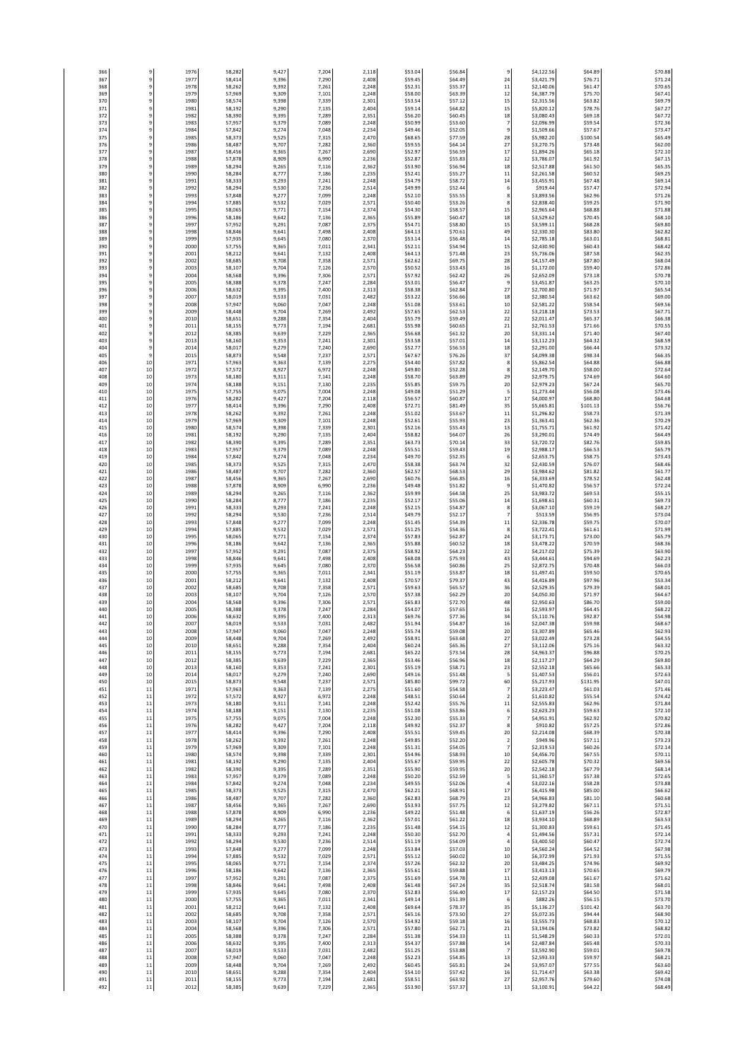| 366<br>367 | 9<br>$^{\rm 9}$                  | 1976<br>1977 | 58,282<br>58,414 | 9,427<br>9,396 | 7,204<br>7,290 | 2,118<br>2,408 | \$53.04<br>\$59.45 | \$56.84<br>\$64.49 | 9<br>24              | \$4,122.56<br>\$3,421.79 | \$64.89<br>\$76.71  | \$70.8<br>\$71.2   |
|------------|----------------------------------|--------------|------------------|----------------|----------------|----------------|--------------------|--------------------|----------------------|--------------------------|---------------------|--------------------|
| 368        | $\,9$                            | 1978         | 58,262           | 9,392          | 7,261          | 2,248          | \$52.31            | \$55.37            | 11                   | \$2,140.06               | \$61.47             | \$70.6             |
| 369        | $^{\rm 9}$                       | 1979         | 57,969           | 9,309          | 7,101          | 2,248          | \$58.00            | \$63.39            | 12                   | \$6,387.79               | \$75.70             | \$67.4             |
| 370<br>371 | 9<br>9                           | 1980<br>198  | 58,574<br>58,192 | 9,398<br>9,290 | 7,339<br>7,135 | 2,301<br>2,404 | \$53.54<br>\$59.14 | \$57.12<br>\$64.82 | 15<br>15             | \$2,315.56<br>\$5,820.12 | \$63.82<br>\$78.76  | \$69.79<br>\$67.2  |
| 372        | $\,9$                            | 1982         | 58,390           | 9,395          | 7,289          | 2,351          | \$56.20            | \$60.45            | 18                   | \$3,080.4                | \$69.18             | \$67.7             |
| 373        | 9                                | 1983         | 57,957           | 9,379          | 7,089          | 2,248          | \$50.99            | \$53.60            | 7                    | \$2,096.99               | \$59.54             | \$72.3             |
| 374<br>375 | 9<br>$\overline{9}$              | 1984         | 57,842           | 9,274          | 7,048          | 2,234          | \$49.46            | \$52.05            | 9                    | \$1,509.66               | \$57.67             | \$73.4             |
| 376        | $\overline{9}$                   | 1985<br>1986 | 58,373<br>58,487 | 9,525<br>9,707 | 7,315<br>7,282 | 2,470<br>2,360 | \$68.65<br>\$59.55 | \$77.59<br>\$64.14 | 28<br>27             | \$5,982.20<br>\$3,270.75 | \$100.54<br>\$73.48 | \$65.49<br>\$62.0  |
| 377        | 9                                | 1987         | 58,456           | 9,365          | 7,267          | 2,690          | \$52.97            | \$56.59            | 17                   | \$1,894.26               | \$65.18             | \$72.1             |
| 378        | $\overline{9}$                   | 1988         | 57,878           | 8,909          | 6,990          | 2,236          | \$52.87            | \$55.83            | 12                   | \$3,786.07               | \$61.92             | \$67.1             |
| 379<br>380 | $\overline{9}$<br>$^{\rm 9}$     | 1989<br>1990 | 58,294<br>58,284 | 9,265<br>8,777 | 7,116<br>7,186 | 2,362<br>2,235 | \$53.90<br>\$52.41 | \$56.94<br>\$55.27 | 18<br>11             | \$2,517.88<br>\$2,261.58 | \$61.50<br>\$60.52  | \$65.3\$<br>\$69.2 |
| 381        | 9                                | 1991         | 58,333           | 9,293          | 7,241          | 2,248          | \$54.79            | \$58.72            | 14                   | \$3,455.9                | \$67.48             | \$69.1             |
| 382        | $\overline{9}$                   | 1992         | 58,294           | 9,530          | 7,236          | 2,514          | \$49.99            | \$52.44            | 6                    | \$919.44                 | \$57.47             | \$72.9             |
| 383        | 9                                | 1993         | 57,848           | 9,277          | 7,099          | 2,248          | \$52.10            | \$55.59            | 8                    | \$3,893.56               | \$62.96             | \$71.2             |
| 384<br>385 | 9<br>9                           | 199<br>199   | 57,885<br>58,065 | 9,532<br>9,771 | 7,029<br>7,154 | 2,571<br>2,374 | \$50.40<br>\$54.30 | \$53.26<br>\$58.57 | 8<br>15              | \$2,838.40<br>\$2,965.64 | \$59.25<br>\$68.88  | \$71.9<br>\$71.8   |
| 386        | 9                                | 1996         | 58,186           | 9,642          | 7,136          | 2,365          | \$55.89            | \$60.47            | 18                   | \$3,529.62               | \$70.45             | \$68.1             |
| 387        | 9                                | 1997         | 57,952           | 9,291          | 7,087          | 2,375          | \$54.71            | \$58.80            | 15                   | \$3,599.11               | \$68.28             | \$69.8             |
| 388<br>389 | $\overline{9}$<br>$\overline{9}$ | 1998<br>1999 | 58,846<br>57,935 | 9,641<br>9,645 | 7,498<br>7,080 | 2,408<br>2,370 | \$64.13<br>\$53.14 | \$70.61<br>\$56.48 | 49<br>14             | \$2,330.30<br>\$2,785.18 | \$83.80<br>\$63.01  | \$62.8<br>\$68.8   |
| 390        | $\overline{9}$                   | 2000         | 57,755           | 9,365          | 7,011          | 2,341          | \$52.11            | \$54.94            | 15                   | \$2,430.90               | \$60.43             | \$68.4             |
| 391        | $\overline{9}$                   | 2001         | 58,212           | 9,641          | 7,132          | 2,408          | \$64.13            | \$71.48            | 23                   | \$5,736.06               | \$87.58             | \$62.3             |
| 392        | $^{\rm 9}$                       | 2002         | 58,685           | 9,708          | 7,358          | 2,571          | \$62.62            | \$69.75            | 28                   | \$4,157.49               | \$87.80             | \$68.0             |
| 393<br>394 | $^{\rm 9}$<br>$^{\rm 9}$         | 2003<br>2004 | 58,107<br>58,568 | 9,704<br>9,396 | 7,126<br>7,306 | 2,570<br>2,571 | \$50.52<br>\$57.92 | \$53.43<br>\$62.42 | 16<br>26             | \$1,172.00<br>\$2,652.09 | \$59.40<br>\$73.18  | \$72.8<br>\$70.7   |
| 395        | $^{\rm 9}$                       | 2005         | 58,388           | 9,378          | 7,247          | 2,284          | \$53.01            | \$56.47            | $\overline{9}$       | \$3,451.87               | \$63.25             | \$70.1             |
| 396        | 9                                | 2006         | 58,632           | 9,395          | 7,400          | 2,313          | \$58.38            | \$62.84            | 27                   | \$2,700.80               | \$71.97             | \$65.5             |
| 397<br>398 | $\overline{9}$<br>9              | 200<br>2008  | 58,019<br>57,947 | 9,533<br>9,060 | 7,031<br>7,047 | 2,482<br>2,248 | \$53.22<br>\$51.08 | \$56.66<br>\$53.63 | 18<br>10             | \$2,380.54<br>\$2,581.22 | \$63.62<br>\$58.54  | \$69.0<br>\$69.5   |
| 399        | 9                                | 2009         | 58,448           | 9,704          | 7,269          | 2,492          | \$57.65            | \$62.53            | 22                   | \$3,218.18               | \$73.53             | \$67.7             |
| 400        | $\overline{9}$                   | 2010         | 58,651           | 9,288          | 7,354          | 2,404          | \$55.79            | \$59.49            | 22                   | \$2,011.4                | \$65.37             | \$66.3             |
| 401<br>402 | $\overline{9}$<br>$\overline{9}$ | 201<br>2012  | 58,155<br>58,385 | 9,773<br>9,639 | 7,194<br>7,229 | 2,681<br>2,365 | \$55.98<br>\$56.68 | \$60.65<br>\$61.32 | 21<br>20             | \$2,761.53<br>\$3,331.14 | \$71.66<br>\$71.40  | \$70.5<br>\$67.40  |
| 403        | $\,9$                            | 2013         | 58,160           | 9,353          | 7,241          | 2,301          | \$53.58            | \$57.01            | 14                   | \$3,112.23               | \$64.32             | \$68.59            |
| 404        | $\,9$                            | 2014         | 58,017           | 9,279          | 7,240          | 2,690          | \$52.77            | \$56.53            | 18                   | \$2,291.00               | \$66.44             | \$73.3             |
| 405        | $^{\rm 9}$                       | 2015         | 58,873           | 9,548          | 7,237          | 2,571          | \$67.67            | \$76.26            | 37                   | \$4,099.38               | \$98.34             | \$66.3             |
| 406<br>407 | 10<br>10                         | 197<br>1972  | 57,963<br>57,572 | 9,363<br>8,927 | 7,139<br>6,972 | 2,275<br>2,248 | \$54.40<br>\$49.80 | \$57.82<br>\$52.28 | 8<br>8               | \$5,862.54<br>\$2,149.70 | \$64.88<br>\$58.00  | \$66.8<br>\$72.6   |
| 408        | 10                               | 1973         | 58,180           | 9,311          | 7,141          | 2,248          | \$58.70            | \$63.89            | 29                   | \$2,979.7                | \$74.69             | \$64.6             |
| 409        | 10                               | 1974         | 58,188           | 9,151          | 7,130          | 2,235          | \$55.85            | \$59.75            | 20                   | \$2,979.2                | \$67.24             | \$65.70            |
| 410<br>411 | 10<br>10                         | 197<br>1976  | 57,755<br>58,282 | 9,075<br>9,427 | 7,004<br>7,204 | 2,248<br>2,118 | \$49.08<br>\$56.57 | \$51.29<br>\$60.87 | 5<br>17              | \$1,273.44<br>\$4,000.9  | \$56.08<br>\$68.80  | \$73.4<br>\$64.6   |
| 412        | 10                               | 1977         | 58,414           | 9,396          | 7,290          | 2,408          | \$72.71            | \$81.49            | 35                   | \$5,665.81               | \$101.13            | \$56.7             |
| 413        | 10                               | 1978         | 58,262           | 9,392          | 7,261          | 2,248          | \$51.02            | \$53.67            | 11                   | \$1,296.82               | \$58.73             | \$71.39            |
| 414        | 10                               | 1979         | 57,969           | 9,309          | 7,101          | 2,248          | \$52.61            | \$55.93            | 23                   | \$1,363.41               | \$62.36             | \$70.29            |
| 415<br>416 | 10<br>10                         | 1980<br>1981 | 58,574<br>58,192 | 9,398<br>9,290 | 7,339<br>7,135 | 2,301<br>2,404 | \$52.16<br>\$58.82 | \$55.43<br>\$64.07 | 13<br>26             | \$1,755.71<br>\$3,290.01 | \$61.92<br>\$74.49  | \$71.4<br>\$64.49  |
| 417        | 10                               | 1982         | 58,390           | 9,395          | 7,289          | 2,351          | \$63.73            | \$70.14            | 33                   | \$3,720.72               | \$82.76             | \$59.8             |
| 418        | 10                               | 1983         | 57,957           | 9,379          | 7,089          | 2,248          | \$55.51            | \$59.43            | 19                   | \$2,988.17               | \$66.53             | \$65.7             |
| 419<br>420 | 10<br>10                         | 1984<br>1985 | 57,842<br>58,373 | 9,274<br>9,525 | 7,048<br>7,315 | 2,234<br>2,470 | \$49.70<br>\$58.38 | \$52.35<br>\$63.74 | 6<br>32              | \$2,653.75<br>\$2,430.59 | \$58.75<br>\$76.07  | \$73.4<br>\$68.4   |
| 421        | 10                               | 1986         | 58,487           | 9,707          | 7,282          | 2,360          | \$62.57            | \$68.53            | 29                   | \$3,984.62               | \$81.82             | \$61.7             |
| 422        | 10                               | 198          | 58,456           | 9,365          | 7,267          | 2,690          | \$60.76            | \$66.85            | 16                   | \$6,333.69               | \$78.52             | \$62.4             |
| 423<br>424 | 10<br>10                         | 1988<br>1989 | 57,878<br>58,294 | 8,909<br>9,265 | 6,990<br>7,116 | 2,236<br>2,362 | \$49.48<br>\$59.99 | \$51.82<br>\$64.58 | 9<br>25              | \$1,470.82<br>\$3,983.7  | \$56.57<br>\$69.53  | \$72.2<br>\$55.1   |
| 425        | $10\,$                           | 1990         | 58,284           | 8,777          | 7,186          | 2,235          | \$52.17            | \$55.06            | 14                   | \$1,698.61               | \$60.31             | \$69.73            |
| 426        | 10                               | 1991         | 58,333           | 9,293          | 7,241          | 2,248          | \$52.15            | \$54.87            | 8                    | \$3,067.10               | \$59.19             | \$68.2             |
| 427        | 10                               | 1992         | 58,294           | 9,530          | 7,236          | 2,514          | \$49.79            | \$52.17            | $\overline{7}$       | \$513.59                 | \$56.95             | \$73.0             |
| 428<br>429 | 10<br>10                         | 1993<br>199  | 57,848<br>57,885 | 9,277<br>9,532 | 7,099<br>7,029 | 2,248<br>2,571 | \$51.45<br>\$51.25 | \$54.39<br>\$54.36 | 11<br>8              | \$2,336.78<br>\$3,722.4  | \$59.75<br>\$61.61  | \$70.0<br>\$71.99  |
| 430        | 10                               | 1995         | 58,065           | 9,771          | 7,154          | 2,374          | \$57.83            | \$62.87            | 24                   | \$3,173.71               | \$73.00             | \$65.79            |
| 431        | 10                               | 1996         | 58,186           | 9,642          | 7,136          | 2,365          | \$55.88            | \$60.52            | 18                   | \$3,478.2                | \$70.59             | \$68.3             |
| 432<br>433 | 10<br>10                         | 1997<br>1998 | 57,952<br>58,846 | 9,291<br>9,641 | 7,087<br>7,498 | 2,375<br>2,408 | \$58.92<br>\$68.08 | \$64.23<br>\$75.93 | 22<br>43             | \$4,217.02<br>\$3,444.61 | \$75.39<br>\$94.69  | \$63.90<br>\$62.2  |
| 434        | 10                               | 1999         | 57,935           | 9,645          | 7,080          | 2,370          | \$56.58            | \$60.86            | 25                   | \$2,872.7                | \$70.48             | \$66.0             |
| 435        | 10                               | 2000         | 57,755           | 9,365          | 7,011          | 2,341          | \$51.19            | \$53.87            | 18                   | \$1,497.4                | \$59.50             | \$70.6             |
| 436<br>437 | 10<br>10                         | 200<br>2002  | 58,212<br>58,685 | 9,641<br>9,708 | 7,132          | 2,408          | \$70.57<br>\$59.63 | \$79.37<br>\$65.57 | 43<br>36             | \$4,416.89<br>\$2,529.35 | \$97.96<br>\$79.39  | \$53.34            |
| 438        | 10                               | 2003         | 58,107           | 9,704          | 7,358<br>7,126 | 2,571<br>2,570 | \$57.38            | \$62.29            | 20                   | \$4,050.30               | \$71.97             | \$68.0<br>\$64.6   |
| 439        | 10                               | 2004         | 58,568           | 9,396          | 7,306          | 2,571          | \$65.83            | \$72.70            | 48                   | \$2,950.63               | \$86.70             | \$59.0             |
| 440        | 10<br>10                         | 2005         | 58,388           | 9,378          | 7,247          | 2,284          | \$54.07            | \$57.65            | 16<br>34             | \$2,593.97               | \$64.45             | \$68.2<br>\$54.9   |
| 441<br>442 | 10                               | 2006<br>2007 | 58,632<br>58,019 | 9,395<br>9,533 | 7,400<br>7,031 | 2,313<br>2,482 | \$69.76<br>\$51.94 | \$77.36<br>\$54.87 | 16                   | \$5,110.76<br>\$2,047.38 | \$92.87<br>\$59.98  | \$68.6             |
| 443        | 10                               | 2008         | 57,947           | 9,060          | 7,047          | 2,248          | \$55.74            | \$59.08            | 20                   | \$3,307.89               | \$65.46             | \$62.9             |
| 444        | 10                               | 2009         | 58,448           | 9,704          | 7,269          | 2,492          | \$58.91            | \$63.68            | 27                   | \$3,022.49               | \$73.28             | \$64.5             |
| 445<br>446 | 10<br>10                         | 2010<br>2011 | 58,651<br>58,155 | 9,288<br>9,773 | 7,354<br>7,194 | 2,404<br>2,681 | \$60.24<br>\$65.22 | \$65.36<br>\$73.54 | 27<br>28             | \$3,112.06<br>\$4,963.37 | \$75.16<br>\$96.88  | \$63.3<br>\$70.2   |
| 447        | 10                               | 2012         | 58,385           | 9,639          | 7,229          | 2,365          | \$53.46            | \$56.96            | 18                   | \$2,117.27               | \$64.29             | \$69.8             |
| 448        | 10                               | 2013         | 58,160           | 9,353          | 7,241          | 2,301          | \$55.19            | \$58.71            | 23                   | \$2,552.18               | \$65.66             | \$65.3             |
| 449<br>450 | 10<br>10                         | 2014<br>2015 | 58,017<br>58,873 | 9,279<br>9,548 | 7,240<br>7,237 | 2,690<br>2,571 | \$49.16<br>\$85.80 | \$51.48<br>\$99.72 | 5<br>60              | \$1,407.53<br>\$5,217.93 | \$56.01<br>\$131.95 | \$72.6<br>\$47.0   |
| 451        | $11\,$                           | 1971         | 57,963           | 9,363          | 7,139          | 2,275          | \$51.60            | \$54.58            | $\overline{7}$       | \$3,223.47               | \$61.03             | \$71.4             |
| 452        | $11\,$                           | 1972         | 57,572           | 8,927          | 6,972          | 2.248          | \$48.51            | \$50.64            | $\overline{2}$       | \$1,610.82               | \$55.54             | \$74.4             |
| 453<br>454 | $11\,$<br>$11\,$                 | 1973<br>1974 | 58,180<br>58,188 | 9,311<br>9,151 | 7,141<br>7,130 | 2,248<br>2,235 | \$52.42<br>\$51.08 | \$55.76<br>\$53.86 | 11<br>6              | \$2,555.83<br>\$2,623.23 | \$62.96<br>\$59.63  | \$71.8<br>\$72.1   |
| 455        | $11\,$                           | 1975         | 57,755           | 9,075          | 7,004          | 2,248          | \$52.30            | \$55.33            | $\overline{7}$       | \$4,951.91               | \$62.92             | \$70.8             |
| 456        | 11                               | 1976         | 58,282           | 9,427          | 7,204          | 2,118          | \$49.92            | \$52.37            | 8                    | \$910.82                 | \$57.25             | \$72.8             |
| 457<br>458 | $11\,$<br>$11\,$                 | 197<br>1978  | 58,414<br>58,262 | 9,396<br>9,392 | 7,290<br>7,261 | 2,408<br>2,248 | \$55.51<br>\$49.85 | \$59.45<br>\$52.20 | 20<br>$\overline{2}$ | \$2,214.08<br>\$949.96   | \$68.39<br>\$57.11  | \$70.3<br>\$73.2   |
| 459        | $11$                             | 1979         | 57,969           | 9,309          | 7,101          | 2,248          | \$51.31            | \$54.05            | $\overline{7}$       | \$2,319.53               | \$60.26             | \$72.1             |
| 460        | $11$                             | 1980         | 58,574           | 9,398          | 7,339          | 2,301          | \$54.96            | \$58.93            | 10                   | \$4,456.70               | \$67.55             | \$70.1             |
| 461<br>462 | 11<br>$11\,$                     | 1981<br>1982 | 58,192<br>58,390 | 9,290<br>9,395 | 7,135<br>7,289 | 2,404<br>2,351 | \$55.67<br>\$55.90 | \$59.95<br>\$59.95 | 22<br>20             | \$2,605.78<br>\$2,542.18 | \$70.32<br>\$67.79  | \$69.5<br>\$68.1   |
| 463        | $11\,$                           | 1983         | 57,957           | 9,379          | 7,089          | 2,248          | \$50.20            | \$52.59            | 5                    | \$1,360.57               | \$57.38             | \$72.6             |
| 464        | $11\,$                           | 1984         | 57,842           | 9,274          | 7,048          | 2,234          | \$49.55            | \$52.06            | $\overline{4}$       | \$3,022.16               | \$58.28             | \$73.8             |
| 465        | $11\,$<br>$11\,$                 | 1985<br>1986 | 58,373           | 9,525<br>9,707 | 7,315<br>7,282 | 2,470<br>2,360 | \$62.21<br>\$62.83 | \$68.91<br>\$68.79 | 17<br>23             | \$6,415.98<br>\$4,966.83 | \$85.00<br>\$81.10  | \$66.6<br>\$60.6   |
| 466<br>467 | $11\,$                           | 1987         | 58,487<br>58,456 | 9,365          | 7,267          | 2,690          | \$53.93            | \$57.75            | 12                   | \$3,279.82               | \$67.11             | \$71.5             |
| 468        | $11\,$                           | 1988         | 57,878           | 8,909          | 6,990          | 2,236          | \$49.22            | \$51.48            | 6                    | \$1,637.19               | \$56.26             | \$72.8             |
| 469<br>470 | $11\,$<br>$11\,$                 | 1989<br>1990 | 58,294           | 9,265<br>8,777 | 7,116          | 2,362          | \$57.01<br>\$51.48 | \$61.22<br>\$54.15 | 18                   | \$3,934.10               | \$68.89<br>\$59.61  | \$63.5             |
| 471        | $11\,$                           | 1991         | 58,284<br>58,333 | 9,293          | 7,186<br>7,241 | 2,235<br>2,248 | \$50.30            | \$52.70            | 12<br>4              | \$1,300.83<br>\$1,494.56 | \$57.31             | \$71.4<br>\$72.1   |
| 472        | $11\,$                           | 1992         | 58,294           | 9,530          | 7,236          | 2,514          | \$51.19            | \$54.09            | 4                    | \$3,400.50               | \$60.47             | \$72.7             |
| 473        | $11\,$                           | 1993         | 57,848           | 9,277          | 7,099          | 2,248          | \$53.84            | \$57.03            | 10                   | \$4,560.24               | \$64.52             | \$67.9             |
| 474<br>475 | $11\,$<br>$11\,$                 | 1994<br>1995 | 57,885<br>58,065 | 9,532<br>9,771 | 7,029<br>7,154 | 2,571<br>2,374 | \$55.12<br>\$57.26 | \$60.02<br>\$62.32 | 10<br>20             | \$6,372.99<br>\$3,484.25 | \$71.93<br>\$74.96  | \$71.5<br>\$69.9   |
| 476        | $11\,$                           | 1996         | 58,186           | 9,642          | 7,136          | 2,365          | \$55.61            | \$59.88            | 17                   | \$3,413.13               | \$70.65             | \$69.7             |
| 477        | $11\,$                           | 1997         | 57,952           | 9,291          | 7,087          | 2,375          | \$51.69            | \$54.78            | 11                   | \$2,439.08               | \$61.67             | \$71.6             |
| 478<br>479 | $11\,$<br>$11\,$                 | 1998<br>1999 | 58,846<br>57,935 | 9,641<br>9,645 | 7,498<br>7,080 | 2,408<br>2,370 | \$61.48<br>\$52.83 | \$67.24<br>\$56.40 | 35<br>17             | \$2,518.74<br>\$2,157.23 | \$81.58<br>\$64.50  | \$68.0<br>\$71.5   |
| 480        | $11\,$                           | 2000         | 57,755           | 9,365          | 7,011          | 2,341          | \$49.14            | \$51.39            | 6                    | \$882.26                 | \$56.15             | \$73.7             |
| 481        | $11\,$                           | 2001         | 58,212           | 9,641          | 7,132          | 2,408          | \$69.64            | \$78.37            | 35                   | \$5,136.27               | \$101.42            | \$63.7             |
| 482<br>483 | $11\,$<br>$11\,$                 | 2002<br>2003 | 58,685<br>58.107 | 9,708<br>9,704 | 7,358<br>7,126 | 2,571<br>2.570 | \$65.16<br>\$54.92 | \$73.50<br>\$59.18 | 27<br>16             | \$5,072.35<br>\$3,555.73 | \$94.44<br>\$68.83  | \$68.9<br>\$70.1   |
| 484        | $11$                             | 2004         | 58,568           | 9,396          | 7,306          | 2,571          | \$57.80            | \$62.71            | 21                   | \$3,194.06               | \$73.82             | \$68.8             |
| 485        | $11$                             | 2005         | 58,388           | 9,378          | 7,247          | 2,284          | \$51.38            | \$54.33            | 11                   | \$1,548.29               | \$60.33             | \$72.0             |
| 486<br>487 | 11<br>$11\,$                     | 2006<br>2007 | 58,632<br>58,019 | 9,395<br>9,533 | 7,400<br>7,031 | 2,313<br>2,482 | \$54.37<br>\$51.25 | \$57.88<br>\$53.88 | 14<br>-7             | \$2,487.84<br>\$3,592.90 | \$65.48<br>\$59.01  | \$70.3<br>\$69.7   |
| 488        | $11\,$                           | 2008         | 57,947           | 9,060          | 7,047          | 2,248          | \$52.23            | \$54.85            | 13                   | \$2,593.33               | \$59.97             | \$68.2             |
| 489        | $11\,$                           | 2009         | 58,448           | 9,704          | 7,269          | 2,492          | \$60.45            | \$65.81            | 24                   | \$3,957.07               | \$77.55             | \$63.6             |
| 490<br>491 | $11\,$<br>$11\,$                 | 2010<br>2011 | 58,651<br>58,155 | 9,288<br>9,773 | 7,354<br>7,194 | 2,404<br>2,681 | \$54.10<br>\$58.51 | \$57.42<br>\$63.92 | 16<br>27             | \$1,714.47<br>\$2,957.76 | \$63.38<br>\$79.60  | \$69.4<br>\$74.0   |
| 492        | $11\,$                           | 2012         | 58,385           | 9,639          | 7,229          | 2,365          | \$53.90            | \$57.37            | 13                   | \$3,100.91               | \$64.22             | \$68.49            |